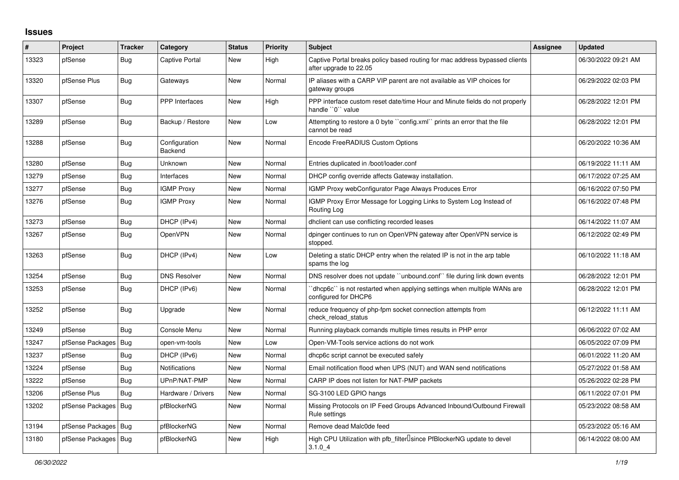## **Issues**

| #     | Project                | <b>Tracker</b> | Category                 | <b>Status</b> | <b>Priority</b> | <b>Subject</b>                                                                                        | <b>Assignee</b> | <b>Updated</b>      |
|-------|------------------------|----------------|--------------------------|---------------|-----------------|-------------------------------------------------------------------------------------------------------|-----------------|---------------------|
| 13323 | pfSense                | Bug            | Captive Portal           | <b>New</b>    | High            | Captive Portal breaks policy based routing for mac address bypassed clients<br>after upgrade to 22.05 |                 | 06/30/2022 09:21 AM |
| 13320 | pfSense Plus           | Bug            | Gateways                 | <b>New</b>    | Normal          | IP aliases with a CARP VIP parent are not available as VIP choices for<br>gateway groups              |                 | 06/29/2022 02:03 PM |
| 13307 | pfSense                | <b>Bug</b>     | <b>PPP</b> Interfaces    | <b>New</b>    | High            | PPP interface custom reset date/time Hour and Minute fields do not properly<br>handle "0" value       |                 | 06/28/2022 12:01 PM |
| 13289 | pfSense                | Bug            | Backup / Restore         | <b>New</b>    | Low             | Attempting to restore a 0 byte "config.xml" prints an error that the file<br>cannot be read           |                 | 06/28/2022 12:01 PM |
| 13288 | pfSense                | Bug            | Configuration<br>Backend | <b>New</b>    | Normal          | Encode FreeRADIUS Custom Options                                                                      |                 | 06/20/2022 10:36 AM |
| 13280 | pfSense                | Bug            | Unknown                  | <b>New</b>    | Normal          | Entries duplicated in /boot/loader.conf                                                               |                 | 06/19/2022 11:11 AM |
| 13279 | pfSense                | Bug            | Interfaces               | New           | Normal          | DHCP config override affects Gateway installation.                                                    |                 | 06/17/2022 07:25 AM |
| 13277 | pfSense                | <b>Bug</b>     | <b>IGMP Proxy</b>        | New           | Normal          | IGMP Proxy webConfigurator Page Always Produces Error                                                 |                 | 06/16/2022 07:50 PM |
| 13276 | pfSense                | Bug            | <b>IGMP Proxy</b>        | New           | Normal          | IGMP Proxy Error Message for Logging Links to System Log Instead of<br>Routing Log                    |                 | 06/16/2022 07:48 PM |
| 13273 | pfSense                | <b>Bug</b>     | DHCP (IPv4)              | New           | Normal          | dholient can use conflicting recorded leases                                                          |                 | 06/14/2022 11:07 AM |
| 13267 | pfSense                | <b>Bug</b>     | OpenVPN                  | New           | Normal          | dpinger continues to run on OpenVPN gateway after OpenVPN service is<br>stopped.                      |                 | 06/12/2022 02:49 PM |
| 13263 | pfSense                | Bug            | DHCP (IPv4)              | <b>New</b>    | Low             | Deleting a static DHCP entry when the related IP is not in the arp table<br>spams the log             |                 | 06/10/2022 11:18 AM |
| 13254 | pfSense                | <b>Bug</b>     | <b>DNS Resolver</b>      | <b>New</b>    | Normal          | DNS resolver does not update "unbound.conf" file during link down events                              |                 | 06/28/2022 12:01 PM |
| 13253 | pfSense                | <b>Bug</b>     | DHCP (IPv6)              | <b>New</b>    | Normal          | "dhcp6c" is not restarted when applying settings when multiple WANs are<br>configured for DHCP6       |                 | 06/28/2022 12:01 PM |
| 13252 | pfSense                | <b>Bug</b>     | Upgrade                  | <b>New</b>    | Normal          | reduce frequency of php-fpm socket connection attempts from<br>check reload status                    |                 | 06/12/2022 11:11 AM |
| 13249 | pfSense                | <b>Bug</b>     | Console Menu             | <b>New</b>    | Normal          | Running playback comands multiple times results in PHP error                                          |                 | 06/06/2022 07:02 AM |
| 13247 | pfSense Packages   Bug |                | open-vm-tools            | <b>New</b>    | Low             | Open-VM-Tools service actions do not work                                                             |                 | 06/05/2022 07:09 PM |
| 13237 | pfSense                | <b>Bug</b>     | DHCP (IPv6)              | <b>New</b>    | Normal          | dhcp6c script cannot be executed safely                                                               |                 | 06/01/2022 11:20 AM |
| 13224 | pfSense                | <b>Bug</b>     | Notifications            | New           | Normal          | Email notification flood when UPS (NUT) and WAN send notifications                                    |                 | 05/27/2022 01:58 AM |
| 13222 | pfSense                | <b>Bug</b>     | UPnP/NAT-PMP             | New           | Normal          | CARP IP does not listen for NAT-PMP packets                                                           |                 | 05/26/2022 02:28 PM |
| 13206 | pfSense Plus           | Bug            | Hardware / Drivers       | New           | Normal          | SG-3100 LED GPIO hangs                                                                                |                 | 06/11/2022 07:01 PM |
| 13202 | pfSense Packages       | Bug            | pfBlockerNG              | <b>New</b>    | Normal          | Missing Protocols on IP Feed Groups Advanced Inbound/Outbound Firewall<br>Rule settings               |                 | 05/23/2022 08:58 AM |
| 13194 | pfSense Packages       | Bug            | pfBlockerNG              | New           | Normal          | Remove dead Malc0de feed                                                                              |                 | 05/23/2022 05:16 AM |
| 13180 | pfSense Packages   Bug |                | pfBlockerNG              | New           | High            | High CPU Utilization with pfb_filterLsince PfBlockerNG update to devel<br>3.1.04                      |                 | 06/14/2022 08:00 AM |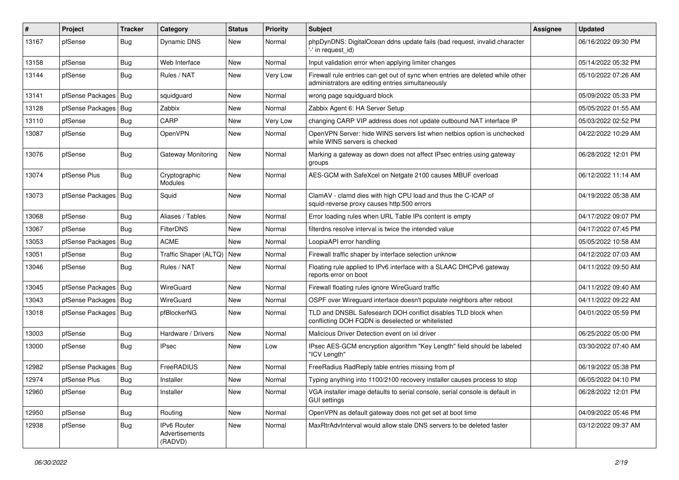| #     | Project                | <b>Tracker</b> | Category                                        | <b>Status</b> | Priority | <b>Subject</b>                                                                                                                      | <b>Assignee</b> | <b>Updated</b>      |
|-------|------------------------|----------------|-------------------------------------------------|---------------|----------|-------------------------------------------------------------------------------------------------------------------------------------|-----------------|---------------------|
| 13167 | pfSense                | <b>Bug</b>     | Dynamic DNS                                     | New           | Normal   | phpDynDNS: DigitalOcean ddns update fails (bad request, invalid character<br>'-' in request id)                                     |                 | 06/16/2022 09:30 PM |
| 13158 | pfSense                | <b>Bug</b>     | Web Interface                                   | New           | Normal   | Input validation error when applying limiter changes                                                                                |                 | 05/14/2022 05:32 PM |
| 13144 | pfSense                | Bug            | Rules / NAT                                     | New           | Very Low | Firewall rule entries can get out of sync when entries are deleted while other<br>administrators are editing entries simultaneously |                 | 05/10/2022 07:26 AM |
| 13141 | pfSense Packages       | Bug            | squidguard                                      | New           | Normal   | wrong page squidguard block                                                                                                         |                 | 05/09/2022 05:33 PM |
| 13128 | pfSense Packages       | Bug            | Zabbix                                          | New           | Normal   | Zabbix Agent 6: HA Server Setup                                                                                                     |                 | 05/05/2022 01:55 AM |
| 13110 | pfSense                | Bug            | CARP                                            | New           | Very Low | changing CARP VIP address does not update outbound NAT interface IP                                                                 |                 | 05/03/2022 02:52 PM |
| 13087 | pfSense                | Bug            | <b>OpenVPN</b>                                  | New           | Normal   | OpenVPN Server: hide WINS servers list when netbios option is unchecked<br>while WINS servers is checked                            |                 | 04/22/2022 10:29 AM |
| 13076 | pfSense                | <b>Bug</b>     | Gateway Monitoring                              | New           | Normal   | Marking a gateway as down does not affect IPsec entries using gateway<br>groups                                                     |                 | 06/28/2022 12:01 PM |
| 13074 | pfSense Plus           | Bug            | Cryptographic<br>Modules                        | New           | Normal   | AES-GCM with SafeXcel on Netgate 2100 causes MBUF overload                                                                          |                 | 06/12/2022 11:14 AM |
| 13073 | pfSense Packages   Bug |                | Squid                                           | New           | Normal   | ClamAV - clamd dies with high CPU load and thus the C-ICAP of<br>squid-reverse proxy causes http:500 errors                         |                 | 04/19/2022 05:38 AM |
| 13068 | pfSense                | Bug            | Aliases / Tables                                | New           | Normal   | Error loading rules when URL Table IPs content is empty                                                                             |                 | 04/17/2022 09:07 PM |
| 13067 | pfSense                | Bug            | <b>FilterDNS</b>                                | New           | Normal   | filterdns resolve interval is twice the intended value                                                                              |                 | 04/17/2022 07:45 PM |
| 13053 | pfSense Packages       | Bug            | <b>ACME</b>                                     | New           | Normal   | LoopiaAPI error handling                                                                                                            |                 | 05/05/2022 10:58 AM |
| 13051 | pfSense                | <b>Bug</b>     | Traffic Shaper (ALTQ)                           | <b>New</b>    | Normal   | Firewall traffic shaper by interface selection unknow                                                                               |                 | 04/12/2022 07:03 AM |
| 13046 | pfSense                | Bug            | Rules / NAT                                     | New           | Normal   | Floating rule applied to IPv6 interface with a SLAAC DHCPv6 gateway<br>reports error on boot                                        |                 | 04/11/2022 09:50 AM |
| 13045 | pfSense Packages   Bug |                | WireGuard                                       | New           | Normal   | Firewall floating rules ignore WireGuard traffic                                                                                    |                 | 04/11/2022 09:40 AM |
| 13043 | pfSense Packages       | Bug            | WireGuard                                       | New           | Normal   | OSPF over Wireguard interface doesn't populate neighbors after reboot                                                               |                 | 04/11/2022 09:22 AM |
| 13018 | pfSense Packages   Bug |                | pfBlockerNG                                     | New           | Normal   | TLD and DNSBL Safesearch DOH conflict disables TLD block when<br>conflicting DOH FQDN is deselected or whitelisted                  |                 | 04/01/2022 05:59 PM |
| 13003 | pfSense                | Bug            | Hardware / Drivers                              | New           | Normal   | Malicious Driver Detection event on ixl driver                                                                                      |                 | 06/25/2022 05:00 PM |
| 13000 | pfSense                | Bug            | <b>IPsec</b>                                    | New           | Low      | IPsec AES-GCM encryption algorithm "Key Length" field should be labeled<br>"ICV Length"                                             |                 | 03/30/2022 07:40 AM |
| 12982 | pfSense Packages       | Bug            | FreeRADIUS                                      | New           | Normal   | FreeRadius RadReply table entries missing from pf                                                                                   |                 | 06/19/2022 05:38 PM |
| 12974 | pfSense Plus           | <b>Bug</b>     | Installer                                       | New           | Normal   | Typing anything into 1100/2100 recovery installer causes process to stop                                                            |                 | 06/05/2022 04:10 PM |
| 12960 | pfSense                | Bug            | Installer                                       | New           | Normal   | VGA installer image defaults to serial console, serial console is default in<br><b>GUI settings</b>                                 |                 | 06/28/2022 12:01 PM |
| 12950 | pfSense                | <b>Bug</b>     | Routing                                         | New           | Normal   | OpenVPN as default gateway does not get set at boot time                                                                            |                 | 04/09/2022 05:46 PM |
| 12938 | pfSense                | Bug            | <b>IPv6 Router</b><br>Advertisements<br>(RADVD) | New           | Normal   | MaxRtrAdvInterval would allow stale DNS servers to be deleted faster                                                                |                 | 03/12/2022 09:37 AM |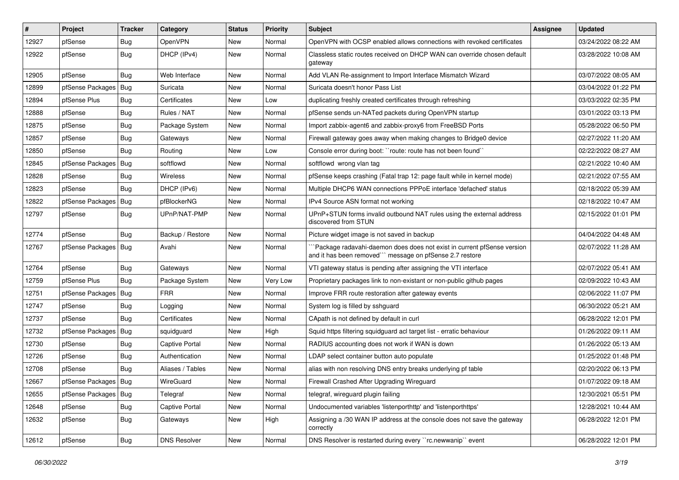| #     | Project                | <b>Tracker</b> | Category              | <b>Status</b> | <b>Priority</b> | <b>Subject</b>                                                                                                                     | Assignee | <b>Updated</b>      |
|-------|------------------------|----------------|-----------------------|---------------|-----------------|------------------------------------------------------------------------------------------------------------------------------------|----------|---------------------|
| 12927 | pfSense                | <b>Bug</b>     | OpenVPN               | New           | Normal          | OpenVPN with OCSP enabled allows connections with revoked certificates                                                             |          | 03/24/2022 08:22 AM |
| 12922 | pfSense                | Bug            | DHCP (IPv4)           | New           | Normal          | Classless static routes received on DHCP WAN can override chosen default<br>gateway                                                |          | 03/28/2022 10:08 AM |
| 12905 | pfSense                | Bug            | Web Interface         | New           | Normal          | Add VLAN Re-assignment to Import Interface Mismatch Wizard                                                                         |          | 03/07/2022 08:05 AM |
| 12899 | pfSense Packages       | Bug            | Suricata              | New           | Normal          | Suricata doesn't honor Pass List                                                                                                   |          | 03/04/2022 01:22 PM |
| 12894 | pfSense Plus           | Bug            | Certificates          | New           | Low             | duplicating freshly created certificates through refreshing                                                                        |          | 03/03/2022 02:35 PM |
| 12888 | pfSense                | <b>Bug</b>     | Rules / NAT           | New           | Normal          | pfSense sends un-NATed packets during OpenVPN startup                                                                              |          | 03/01/2022 03:13 PM |
| 12875 | pfSense                | <b>Bug</b>     | Package System        | New           | Normal          | Import zabbix-agent6 and zabbix-proxy6 from FreeBSD Ports                                                                          |          | 05/28/2022 06:50 PM |
| 12857 | pfSense                | <b>Bug</b>     | Gateways              | New           | Normal          | Firewall gateway goes away when making changes to Bridge0 device                                                                   |          | 02/27/2022 11:20 AM |
| 12850 | pfSense                | Bug            | Routing               | New           | Low             | Console error during boot: "route: route has not been found"                                                                       |          | 02/22/2022 08:27 AM |
| 12845 | pfSense Packages       | <b>Bug</b>     | softflowd             | New           | Normal          | softflowd wrong vlan tag                                                                                                           |          | 02/21/2022 10:40 AM |
| 12828 | pfSense                | <b>Bug</b>     | Wireless              | New           | Normal          | pfSense keeps crashing (Fatal trap 12: page fault while in kernel mode)                                                            |          | 02/21/2022 07:55 AM |
| 12823 | pfSense                | Bug            | DHCP (IPv6)           | New           | Normal          | Multiple DHCP6 WAN connections PPPoE interface 'defached' status                                                                   |          | 02/18/2022 05:39 AM |
| 12822 | pfSense Packages       | <b>Bug</b>     | pfBlockerNG           | New           | Normal          | IPv4 Source ASN format not working                                                                                                 |          | 02/18/2022 10:47 AM |
| 12797 | pfSense                | <b>Bug</b>     | UPnP/NAT-PMP          | New           | Normal          | UPnP+STUN forms invalid outbound NAT rules using the external address<br>discovered from STUN                                      |          | 02/15/2022 01:01 PM |
| 12774 | pfSense                | Bug            | Backup / Restore      | New           | Normal          | Picture widget image is not saved in backup                                                                                        |          | 04/04/2022 04:48 AM |
| 12767 | pfSense Packages       | Bug            | Avahi                 | New           | Normal          | Package radavahi-daemon does does not exist in current pfSense version<br>and it has been removed"" message on pfSense 2.7 restore |          | 02/07/2022 11:28 AM |
| 12764 | pfSense                | Bug            | Gateways              | New           | Normal          | VTI gateway status is pending after assigning the VTI interface                                                                    |          | 02/07/2022 05:41 AM |
| 12759 | pfSense Plus           | Bug            | Package System        | New           | Very Low        | Proprietary packages link to non-existant or non-public github pages                                                               |          | 02/09/2022 10:43 AM |
| 12751 | pfSense Packages       | <b>Bug</b>     | <b>FRR</b>            | New           | Normal          | Improve FRR route restoration after gateway events                                                                                 |          | 02/06/2022 11:07 PM |
| 12747 | pfSense                | <b>Bug</b>     | Logging               | New           | Normal          | System log is filled by sshguard                                                                                                   |          | 06/30/2022 05:21 AM |
| 12737 | pfSense                | <b>Bug</b>     | Certificates          | New           | Normal          | CApath is not defined by default in curl                                                                                           |          | 06/28/2022 12:01 PM |
| 12732 | pfSense Packages       | Bug            | squidguard            | New           | High            | Squid https filtering squidguard acl target list - erratic behaviour                                                               |          | 01/26/2022 09:11 AM |
| 12730 | pfSense                | <b>Bug</b>     | <b>Captive Portal</b> | New           | Normal          | RADIUS accounting does not work if WAN is down                                                                                     |          | 01/26/2022 05:13 AM |
| 12726 | pfSense                | <b>Bug</b>     | Authentication        | New           | Normal          | LDAP select container button auto populate                                                                                         |          | 01/25/2022 01:48 PM |
| 12708 | pfSense                | <b>Bug</b>     | Aliases / Tables      | New           | Normal          | alias with non resolving DNS entry breaks underlying pf table                                                                      |          | 02/20/2022 06:13 PM |
| 12667 | pfSense Packages   Bug |                | WireGuard             | New           | Normal          | Firewall Crashed After Upgrading Wireguard                                                                                         |          | 01/07/2022 09:18 AM |
| 12655 | pfSense Packages   Bug |                | Telegraf              | New           | Normal          | telegraf, wireguard plugin failing                                                                                                 |          | 12/30/2021 05:51 PM |
| 12648 | pfSense                | Bug            | Captive Portal        | New           | Normal          | Undocumented variables 'listenporthttp' and 'listenporthttps'                                                                      |          | 12/28/2021 10:44 AM |
| 12632 | pfSense                | <b>Bug</b>     | Gateways              | New           | High            | Assigning a /30 WAN IP address at the console does not save the gateway<br>correctly                                               |          | 06/28/2022 12:01 PM |
| 12612 | pfSense                | Bug            | <b>DNS Resolver</b>   | New           | Normal          | DNS Resolver is restarted during every "rc.newwanip" event                                                                         |          | 06/28/2022 12:01 PM |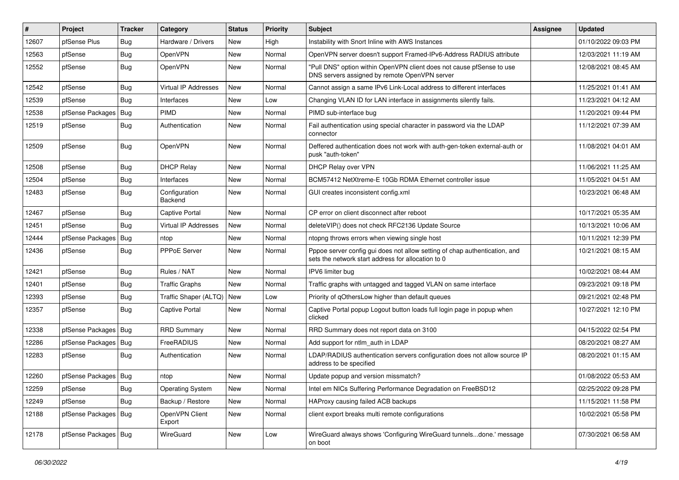| #     | Project                | <b>Tracker</b> | Category                    | <b>Status</b> | <b>Priority</b> | <b>Subject</b>                                                                                                                   | <b>Assignee</b> | <b>Updated</b>      |
|-------|------------------------|----------------|-----------------------------|---------------|-----------------|----------------------------------------------------------------------------------------------------------------------------------|-----------------|---------------------|
| 12607 | pfSense Plus           | <b>Bug</b>     | Hardware / Drivers          | New           | High            | Instability with Snort Inline with AWS Instances                                                                                 |                 | 01/10/2022 09:03 PM |
| 12563 | pfSense                | Bug            | OpenVPN                     | <b>New</b>    | Normal          | OpenVPN server doesn't support Framed-IPv6-Address RADIUS attribute                                                              |                 | 12/03/2021 11:19 AM |
| 12552 | pfSense                | Bug            | OpenVPN                     | <b>New</b>    | Normal          | "Pull DNS" option within OpenVPN client does not cause pfSense to use<br>DNS servers assigned by remote OpenVPN server           |                 | 12/08/2021 08:45 AM |
| 12542 | pfSense                | Bug            | Virtual IP Addresses        | <b>New</b>    | Normal          | Cannot assign a same IPv6 Link-Local address to different interfaces                                                             |                 | 11/25/2021 01:41 AM |
| 12539 | pfSense                | Bug            | Interfaces                  | <b>New</b>    | Low             | Changing VLAN ID for LAN interface in assignments silently fails.                                                                |                 | 11/23/2021 04:12 AM |
| 12538 | pfSense Packages   Bug |                | PIMD                        | <b>New</b>    | Normal          | PIMD sub-interface bug                                                                                                           |                 | 11/20/2021 09:44 PM |
| 12519 | pfSense                | Bug            | Authentication              | <b>New</b>    | Normal          | Fail authentication using special character in password via the LDAP<br>connector                                                |                 | 11/12/2021 07:39 AM |
| 12509 | pfSense                | Bug            | OpenVPN                     | <b>New</b>    | Normal          | Deffered authentication does not work with auth-gen-token external-auth or<br>pusk "auth-token"                                  |                 | 11/08/2021 04:01 AM |
| 12508 | pfSense                | Bug            | <b>DHCP Relay</b>           | <b>New</b>    | Normal          | DHCP Relay over VPN                                                                                                              |                 | 11/06/2021 11:25 AM |
| 12504 | pfSense                | Bug            | Interfaces                  | <b>New</b>    | Normal          | BCM57412 NetXtreme-E 10Gb RDMA Ethernet controller issue                                                                         |                 | 11/05/2021 04:51 AM |
| 12483 | pfSense                | Bug            | Configuration<br>Backend    | <b>New</b>    | Normal          | GUI creates inconsistent config.xml                                                                                              |                 | 10/23/2021 06:48 AM |
| 12467 | pfSense                | Bug            | <b>Captive Portal</b>       | <b>New</b>    | Normal          | CP error on client disconnect after reboot                                                                                       |                 | 10/17/2021 05:35 AM |
| 12451 | pfSense                | <b>Bug</b>     | <b>Virtual IP Addresses</b> | New           | Normal          | deleteVIP() does not check RFC2136 Update Source                                                                                 |                 | 10/13/2021 10:06 AM |
| 12444 | pfSense Packages       | <b>Bug</b>     | ntop                        | <b>New</b>    | Normal          | ntopng throws errors when viewing single host                                                                                    |                 | 10/11/2021 12:39 PM |
| 12436 | pfSense                | Bug            | PPPoE Server                | New           | Normal          | Pppoe server config gui does not allow setting of chap authentication, and<br>sets the network start address for allocation to 0 |                 | 10/21/2021 08:15 AM |
| 12421 | pfSense                | Bug            | Rules / NAT                 | <b>New</b>    | Normal          | IPV6 limiter bug                                                                                                                 |                 | 10/02/2021 08:44 AM |
| 12401 | pfSense                | <b>Bug</b>     | <b>Traffic Graphs</b>       | New           | Normal          | Traffic graphs with untagged and tagged VLAN on same interface                                                                   |                 | 09/23/2021 09:18 PM |
| 12393 | pfSense                | <b>Bug</b>     | Traffic Shaper (ALTQ)       | <b>New</b>    | Low             | Priority of gOthersLow higher than default queues                                                                                |                 | 09/21/2021 02:48 PM |
| 12357 | pfSense                | Bug            | Captive Portal              | <b>New</b>    | Normal          | Captive Portal popup Logout button loads full login page in popup when<br>clicked                                                |                 | 10/27/2021 12:10 PM |
| 12338 | pfSense Packages   Bug |                | <b>RRD Summary</b>          | <b>New</b>    | Normal          | RRD Summary does not report data on 3100                                                                                         |                 | 04/15/2022 02:54 PM |
| 12286 | pfSense Packages       | <b>Bug</b>     | FreeRADIUS                  | <b>New</b>    | Normal          | Add support for ntlm auth in LDAP                                                                                                |                 | 08/20/2021 08:27 AM |
| 12283 | pfSense                | Bug            | Authentication              | <b>New</b>    | Normal          | LDAP/RADIUS authentication servers configuration does not allow source IP<br>address to be specified                             |                 | 08/20/2021 01:15 AM |
| 12260 | pfSense Packages   Bug |                | ntop                        | <b>New</b>    | Normal          | Update popup and version missmatch?                                                                                              |                 | 01/08/2022 05:53 AM |
| 12259 | pfSense                | <b>Bug</b>     | <b>Operating System</b>     | New           | Normal          | Intel em NICs Suffering Performance Degradation on FreeBSD12                                                                     |                 | 02/25/2022 09:28 PM |
| 12249 | pfSense                | <b>Bug</b>     | Backup / Restore            | New           | Normal          | HAProxy causing failed ACB backups                                                                                               |                 | 11/15/2021 11:58 PM |
| 12188 | pfSense Packages   Bug |                | OpenVPN Client<br>Export    | New           | Normal          | client export breaks multi remote configurations                                                                                 |                 | 10/02/2021 05:58 PM |
| 12178 | pfSense Packages   Bug |                | WireGuard                   | New           | Low             | WireGuard always shows 'Configuring WireGuard tunnelsdone.' message<br>on boot                                                   |                 | 07/30/2021 06:58 AM |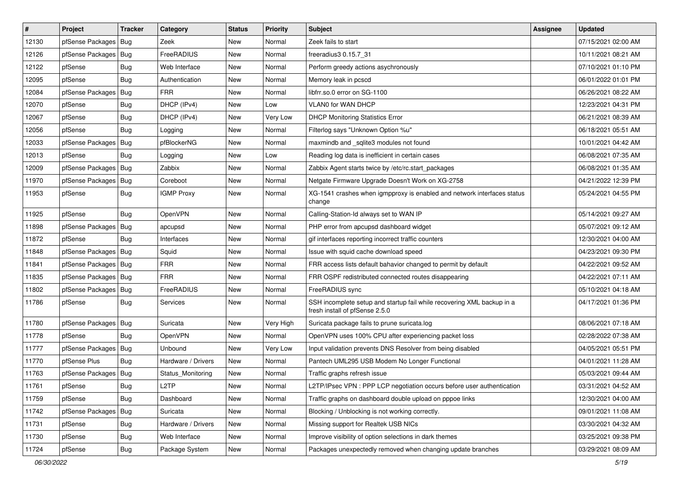| $\#$  | Project                | <b>Tracker</b> | Category           | <b>Status</b> | <b>Priority</b> | <b>Subject</b>                                                                                           | <b>Assignee</b> | <b>Updated</b>      |
|-------|------------------------|----------------|--------------------|---------------|-----------------|----------------------------------------------------------------------------------------------------------|-----------------|---------------------|
| 12130 | pfSense Packages       | Bug            | Zeek               | New           | Normal          | Zeek fails to start                                                                                      |                 | 07/15/2021 02:00 AM |
| 12126 | pfSense Packages   Bug |                | FreeRADIUS         | <b>New</b>    | Normal          | freeradius3 0.15.7 31                                                                                    |                 | 10/11/2021 08:21 AM |
| 12122 | pfSense                | <b>Bug</b>     | Web Interface      | New           | Normal          | Perform greedy actions asychronously                                                                     |                 | 07/10/2021 01:10 PM |
| 12095 | pfSense                | Bug            | Authentication     | New           | Normal          | Memory leak in pcscd                                                                                     |                 | 06/01/2022 01:01 PM |
| 12084 | pfSense Packages       | Bug            | <b>FRR</b>         | <b>New</b>    | Normal          | libfrr.so.0 error on SG-1100                                                                             |                 | 06/26/2021 08:22 AM |
| 12070 | pfSense                | <b>Bug</b>     | DHCP (IPv4)        | New           | Low             | <b>VLAN0 for WAN DHCP</b>                                                                                |                 | 12/23/2021 04:31 PM |
| 12067 | pfSense                | Bug            | DHCP (IPv4)        | New           | Very Low        | <b>DHCP Monitoring Statistics Error</b>                                                                  |                 | 06/21/2021 08:39 AM |
| 12056 | pfSense                | <b>Bug</b>     | Logging            | New           | Normal          | Filterlog says "Unknown Option %u"                                                                       |                 | 06/18/2021 05:51 AM |
| 12033 | pfSense Packages   Bug |                | pfBlockerNG        | New           | Normal          | maxmindb and _sqlite3 modules not found                                                                  |                 | 10/01/2021 04:42 AM |
| 12013 | pfSense                | <b>Bug</b>     | Logging            | <b>New</b>    | Low             | Reading log data is inefficient in certain cases                                                         |                 | 06/08/2021 07:35 AM |
| 12009 | pfSense Packages       | Bug            | Zabbix             | New           | Normal          | Zabbix Agent starts twice by /etc/rc.start packages                                                      |                 | 06/08/2021 01:35 AM |
| 11970 | pfSense Packages   Bug |                | Coreboot           | New           | Normal          | Netgate Firmware Upgrade Doesn't Work on XG-2758                                                         |                 | 04/21/2022 12:39 PM |
| 11953 | pfSense                | Bug            | <b>IGMP Proxy</b>  | New           | Normal          | XG-1541 crashes when igmpproxy is enabled and network interfaces status<br>change                        |                 | 05/24/2021 04:55 PM |
| 11925 | pfSense                | Bug            | OpenVPN            | New           | Normal          | Calling-Station-Id always set to WAN IP                                                                  |                 | 05/14/2021 09:27 AM |
| 11898 | pfSense Packages       | Bug            | apcupsd            | New           | Normal          | PHP error from apcupsd dashboard widget                                                                  |                 | 05/07/2021 09:12 AM |
| 11872 | pfSense                | <b>Bug</b>     | Interfaces         | New           | Normal          | gif interfaces reporting incorrect traffic counters                                                      |                 | 12/30/2021 04:00 AM |
| 11848 | pfSense Packages   Bug |                | Squid              | New           | Normal          | Issue with squid cache download speed                                                                    |                 | 04/23/2021 09:30 PM |
| 11841 | pfSense Packages   Bug |                | <b>FRR</b>         | New           | Normal          | FRR access lists default bahavior changed to permit by default                                           |                 | 04/22/2021 09:52 AM |
| 11835 | pfSense Packages   Bug |                | <b>FRR</b>         | New           | Normal          | FRR OSPF redistributed connected routes disappearing                                                     |                 | 04/22/2021 07:11 AM |
| 11802 | pfSense Packages       | Bug            | FreeRADIUS         | New           | Normal          | FreeRADIUS sync                                                                                          |                 | 05/10/2021 04:18 AM |
| 11786 | pfSense                | <b>Bug</b>     | <b>Services</b>    | New           | Normal          | SSH incomplete setup and startup fail while recovering XML backup in a<br>fresh install of pfSense 2.5.0 |                 | 04/17/2021 01:36 PM |
| 11780 | pfSense Packages       | Bug            | Suricata           | New           | Very High       | Suricata package fails to prune suricata.log                                                             |                 | 08/06/2021 07:18 AM |
| 11778 | pfSense                | <b>Bug</b>     | <b>OpenVPN</b>     | New           | Normal          | OpenVPN uses 100% CPU after experiencing packet loss                                                     |                 | 02/28/2022 07:38 AM |
| 11777 | pfSense Packages   Bug |                | Unbound            | <b>New</b>    | Very Low        | Input validation prevents DNS Resolver from being disabled                                               |                 | 04/05/2021 05:51 PM |
| 11770 | pfSense Plus           | <b>Bug</b>     | Hardware / Drivers | New           | Normal          | Pantech UML295 USB Modem No Longer Functional                                                            |                 | 04/01/2021 11:28 AM |
| 11763 | pfSense Packages   Bug |                | Status Monitoring  | New           | Normal          | Traffic graphs refresh issue                                                                             |                 | 05/03/2021 09:44 AM |
| 11761 | pfSense                | Bug            | L <sub>2</sub> TP  | New           | Normal          | L2TP/IPsec VPN : PPP LCP negotiation occurs before user authentication                                   |                 | 03/31/2021 04:52 AM |
| 11759 | pfSense                | <b>Bug</b>     | Dashboard          | <b>New</b>    | Normal          | Traffic graphs on dashboard double upload on pppoe links                                                 |                 | 12/30/2021 04:00 AM |
| 11742 | pfSense Packages   Bug |                | Suricata           | New           | Normal          | Blocking / Unblocking is not working correctly.                                                          |                 | 09/01/2021 11:08 AM |
| 11731 | pfSense                | <b>Bug</b>     | Hardware / Drivers | New           | Normal          | Missing support for Realtek USB NICs                                                                     |                 | 03/30/2021 04:32 AM |
| 11730 | pfSense                | <b>Bug</b>     | Web Interface      | New           | Normal          | Improve visibility of option selections in dark themes                                                   |                 | 03/25/2021 09:38 PM |
| 11724 | pfSense                | <b>Bug</b>     | Package System     | New           | Normal          | Packages unexpectedly removed when changing update branches                                              |                 | 03/29/2021 08:09 AM |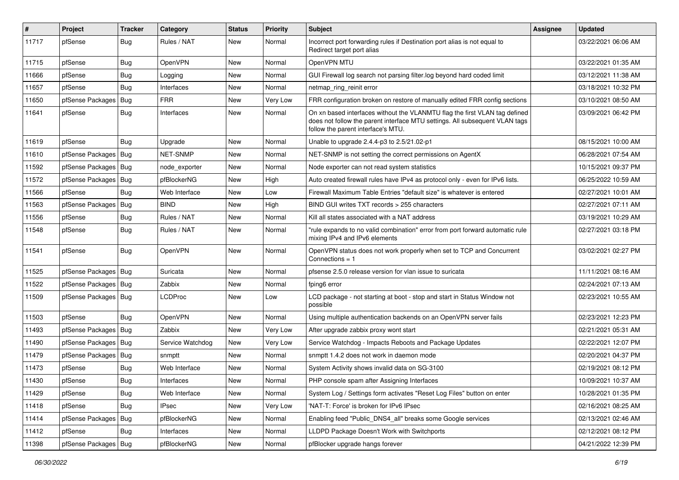| #     | Project                | <b>Tracker</b> | Category         | <b>Status</b> | Priority | <b>Subject</b>                                                                                                                                                                                  | Assignee | <b>Updated</b>      |
|-------|------------------------|----------------|------------------|---------------|----------|-------------------------------------------------------------------------------------------------------------------------------------------------------------------------------------------------|----------|---------------------|
| 11717 | pfSense                | Bug            | Rules / NAT      | New           | Normal   | Incorrect port forwarding rules if Destination port alias is not equal to<br>Redirect target port alias                                                                                         |          | 03/22/2021 06:06 AM |
| 11715 | pfSense                | <b>Bug</b>     | OpenVPN          | New           | Normal   | OpenVPN MTU                                                                                                                                                                                     |          | 03/22/2021 01:35 AM |
| 11666 | pfSense                | <b>Bug</b>     | Logging          | New           | Normal   | GUI Firewall log search not parsing filter.log beyond hard coded limit                                                                                                                          |          | 03/12/2021 11:38 AM |
| 11657 | pfSense                | Bug            | Interfaces       | New           | Normal   | netmap ring reinit error                                                                                                                                                                        |          | 03/18/2021 10:32 PM |
| 11650 | pfSense Packages       | Bug            | <b>FRR</b>       | New           | Very Low | FRR configuration broken on restore of manually edited FRR config sections                                                                                                                      |          | 03/10/2021 08:50 AM |
| 11641 | pfSense                | Bug            | Interfaces       | New           | Normal   | On xn based interfaces without the VLANMTU flag the first VLAN tag defined<br>does not follow the parent interface MTU settings. All subsequent VLAN tags<br>follow the parent interface's MTU. |          | 03/09/2021 06:42 PM |
| 11619 | pfSense                | Bug            | Upgrade          | New           | Normal   | Unable to upgrade 2.4.4-p3 to 2.5/21.02-p1                                                                                                                                                      |          | 08/15/2021 10:00 AM |
| 11610 | pfSense Packages       | Bug            | NET-SNMP         | New           | Normal   | NET-SNMP is not setting the correct permissions on AgentX                                                                                                                                       |          | 06/28/2021 07:54 AM |
| 11592 | pfSense Packages   Bug |                | node exporter    | New           | Normal   | Node exporter can not read system statistics                                                                                                                                                    |          | 10/15/2021 09:37 PM |
| 11572 | pfSense Packages       | Bug            | pfBlockerNG      | New           | High     | Auto created firewall rules have IPv4 as protocol only - even for IPv6 lists.                                                                                                                   |          | 06/25/2022 10:59 AM |
| 11566 | pfSense                | Bug            | Web Interface    | New           | Low      | Firewall Maximum Table Entries "default size" is whatever is entered                                                                                                                            |          | 02/27/2021 10:01 AM |
| 11563 | pfSense Packages       | Bug            | <b>BIND</b>      | New           | High     | BIND GUI writes TXT records > 255 characters                                                                                                                                                    |          | 02/27/2021 07:11 AM |
| 11556 | pfSense                | <b>Bug</b>     | Rules / NAT      | New           | Normal   | Kill all states associated with a NAT address                                                                                                                                                   |          | 03/19/2021 10:29 AM |
| 11548 | pfSense                | Bug            | Rules / NAT      | <b>New</b>    | Normal   | "rule expands to no valid combination" error from port forward automatic rule<br>mixing IPv4 and IPv6 elements                                                                                  |          | 02/27/2021 03:18 PM |
| 11541 | pfSense                | Bug            | OpenVPN          | New           | Normal   | OpenVPN status does not work properly when set to TCP and Concurrent<br>Connections = 1                                                                                                         |          | 03/02/2021 02:27 PM |
| 11525 | pfSense Packages       | Bug            | Suricata         | New           | Normal   | pfsense 2.5.0 release version for vlan issue to suricata                                                                                                                                        |          | 11/11/2021 08:16 AM |
| 11522 | pfSense Packages       | Bug            | Zabbix           | New           | Normal   | fping6 error                                                                                                                                                                                    |          | 02/24/2021 07:13 AM |
| 11509 | pfSense Packages   Bug |                | LCDProc          | New           | Low      | LCD package - not starting at boot - stop and start in Status Window not<br>possible                                                                                                            |          | 02/23/2021 10:55 AM |
| 11503 | pfSense                | Bug            | OpenVPN          | New           | Normal   | Using multiple authentication backends on an OpenVPN server fails                                                                                                                               |          | 02/23/2021 12:23 PM |
| 11493 | pfSense Packages       | Bug            | Zabbix           | New           | Very Low | After upgrade zabbix proxy wont start                                                                                                                                                           |          | 02/21/2021 05:31 AM |
| 11490 | pfSense Packages       | Bug            | Service Watchdog | New           | Very Low | Service Watchdog - Impacts Reboots and Package Updates                                                                                                                                          |          | 02/22/2021 12:07 PM |
| 11479 | pfSense Packages   Bug |                | snmptt           | New           | Normal   | snmptt 1.4.2 does not work in daemon mode                                                                                                                                                       |          | 02/20/2021 04:37 PM |
| 11473 | pfSense                | Bug            | Web Interface    | New           | Normal   | System Activity shows invalid data on SG-3100                                                                                                                                                   |          | 02/19/2021 08:12 PM |
| 11430 | pfSense                | Bug            | Interfaces       | New           | Normal   | PHP console spam after Assigning Interfaces                                                                                                                                                     |          | 10/09/2021 10:37 AM |
| 11429 | pfSense                | <b>Bug</b>     | Web Interface    | New           | Normal   | System Log / Settings form activates "Reset Log Files" button on enter                                                                                                                          |          | 10/28/2021 01:35 PM |
| 11418 | pfSense                | <b>Bug</b>     | <b>IPsec</b>     | New           | Very Low | 'NAT-T: Force' is broken for IPv6 IPsec                                                                                                                                                         |          | 02/16/2021 08:25 AM |
| 11414 | pfSense Packages       | Bug            | pfBlockerNG      | New           | Normal   | Enabling feed "Public_DNS4_all" breaks some Google services                                                                                                                                     |          | 02/13/2021 02:46 AM |
| 11412 | pfSense                | Bug            | Interfaces       | New           | Normal   | LLDPD Package Doesn't Work with Switchports                                                                                                                                                     |          | 02/12/2021 08:12 PM |
| 11398 | pfSense Packages       | Bug            | pfBlockerNG      | New           | Normal   | pfBlocker upgrade hangs forever                                                                                                                                                                 |          | 04/21/2022 12:39 PM |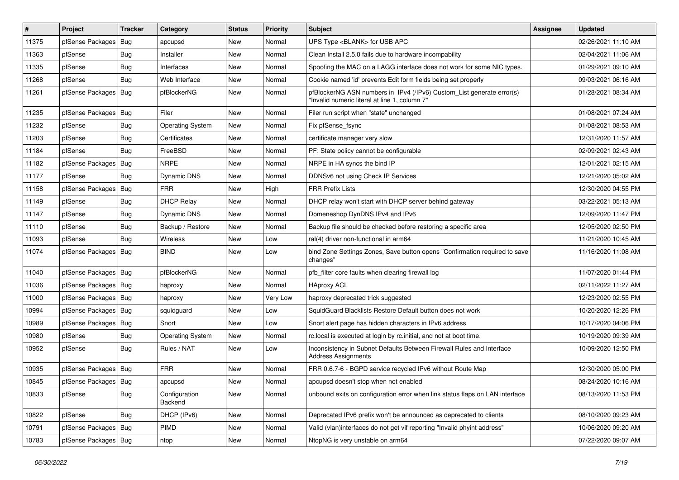| #     | Project                | <b>Tracker</b> | Category                 | <b>Status</b> | <b>Priority</b> | <b>Subject</b>                                                                                                         | Assignee | <b>Updated</b>      |
|-------|------------------------|----------------|--------------------------|---------------|-----------------|------------------------------------------------------------------------------------------------------------------------|----------|---------------------|
| 11375 | pfSense Packages       | Bug            | apcupsd                  | New           | Normal          | UPS Type <blank> for USB APC</blank>                                                                                   |          | 02/26/2021 11:10 AM |
| 11363 | pfSense                | <b>Bug</b>     | Installer                | New           | Normal          | Clean Install 2.5.0 fails due to hardware incompability                                                                |          | 02/04/2021 11:06 AM |
| 11335 | pfSense                | <b>Bug</b>     | Interfaces               | New           | Normal          | Spoofing the MAC on a LAGG interface does not work for some NIC types.                                                 |          | 01/29/2021 09:10 AM |
| 11268 | pfSense                | Bug            | Web Interface            | New           | Normal          | Cookie named 'id' prevents Edit form fields being set properly                                                         |          | 09/03/2021 06:16 AM |
| 11261 | pfSense Packages   Bug |                | pfBlockerNG              | <b>New</b>    | Normal          | pfBlockerNG ASN numbers in IPv4 (/IPv6) Custom_List generate error(s)<br>"Invalid numeric literal at line 1, column 7" |          | 01/28/2021 08:34 AM |
| 11235 | pfSense Packages   Bug |                | Filer                    | <b>New</b>    | Normal          | Filer run script when "state" unchanged                                                                                |          | 01/08/2021 07:24 AM |
| 11232 | pfSense                | Bug            | <b>Operating System</b>  | New           | Normal          | Fix pfSense fsync                                                                                                      |          | 01/08/2021 08:53 AM |
| 11203 | pfSense                | Bug            | Certificates             | New           | Normal          | certificate manager very slow                                                                                          |          | 12/31/2020 11:57 AM |
| 11184 | pfSense                | Bug            | FreeBSD                  | New           | Normal          | PF: State policy cannot be configurable                                                                                |          | 02/09/2021 02:43 AM |
| 11182 | pfSense Packages       | Bug            | <b>NRPE</b>              | New           | Normal          | NRPE in HA syncs the bind IP                                                                                           |          | 12/01/2021 02:15 AM |
| 11177 | pfSense                | Bug            | Dynamic DNS              | New           | Normal          | DDNSv6 not using Check IP Services                                                                                     |          | 12/21/2020 05:02 AM |
| 11158 | pfSense Packages       | Bug            | <b>FRR</b>               | <b>New</b>    | High            | <b>FRR Prefix Lists</b>                                                                                                |          | 12/30/2020 04:55 PM |
| 11149 | pfSense                | Bug            | <b>DHCP Relay</b>        | New           | Normal          | DHCP relay won't start with DHCP server behind gateway                                                                 |          | 03/22/2021 05:13 AM |
| 11147 | pfSense                | Bug            | Dynamic DNS              | New           | Normal          | Domeneshop DynDNS IPv4 and IPv6                                                                                        |          | 12/09/2020 11:47 PM |
| 11110 | pfSense                | <b>Bug</b>     | Backup / Restore         | New           | Normal          | Backup file should be checked before restoring a specific area                                                         |          | 12/05/2020 02:50 PM |
| 11093 | pfSense                | Bug            | Wireless                 | New           | Low             | ral(4) driver non-functional in arm64                                                                                  |          | 11/21/2020 10:45 AM |
| 11074 | pfSense Packages   Bug |                | <b>BIND</b>              | New           | Low             | bind Zone Settings Zones, Save button opens "Confirmation required to save<br>changes"                                 |          | 11/16/2020 11:08 AM |
| 11040 | pfSense Packages   Bug |                | pfBlockerNG              | New           | Normal          | pfb filter core faults when clearing firewall log                                                                      |          | 11/07/2020 01:44 PM |
| 11036 | pfSense Packages   Bug |                | haproxy                  | New           | Normal          | <b>HAproxy ACL</b>                                                                                                     |          | 02/11/2022 11:27 AM |
| 11000 | pfSense Packages   Bug |                | haproxy                  | New           | Very Low        | haproxy deprecated trick suggested                                                                                     |          | 12/23/2020 02:55 PM |
| 10994 | pfSense Packages   Bug |                | squidguard               | New           | Low             | SquidGuard Blacklists Restore Default button does not work                                                             |          | 10/20/2020 12:26 PM |
| 10989 | pfSense Packages       | Bug            | Snort                    | New           | Low             | Snort alert page has hidden characters in IPv6 address                                                                 |          | 10/17/2020 04:06 PM |
| 10980 | pfSense                | Bug            | <b>Operating System</b>  | New           | Normal          | rc.local is executed at login by rc.initial, and not at boot time.                                                     |          | 10/19/2020 09:39 AM |
| 10952 | pfSense                | Bug            | Rules / NAT              | <b>New</b>    | Low             | Inconsistency in Subnet Defaults Between Firewall Rules and Interface<br><b>Address Assignments</b>                    |          | 10/09/2020 12:50 PM |
| 10935 | pfSense Packages   Bug |                | <b>FRR</b>               | New           | Normal          | FRR 0.6.7-6 - BGPD service recycled IPv6 without Route Map                                                             |          | 12/30/2020 05:00 PM |
| 10845 | pfSense Packages   Bug |                | apcupsd                  | New           | Normal          | apcupsd doesn't stop when not enabled                                                                                  |          | 08/24/2020 10:16 AM |
| 10833 | pfSense                | <b>Bug</b>     | Configuration<br>Backend | New           | Normal          | unbound exits on configuration error when link status flaps on LAN interface                                           |          | 08/13/2020 11:53 PM |
| 10822 | pfSense                | Bug            | DHCP (IPv6)              | New           | Normal          | Deprecated IPv6 prefix won't be announced as deprecated to clients                                                     |          | 08/10/2020 09:23 AM |
| 10791 | pfSense Packages   Bug |                | PIMD                     | New           | Normal          | Valid (vlan)interfaces do not get vif reporting "Invalid phyint address"                                               |          | 10/06/2020 09:20 AM |
| 10783 | pfSense Packages   Bug |                | ntop                     | New           | Normal          | NtopNG is very unstable on arm64                                                                                       |          | 07/22/2020 09:07 AM |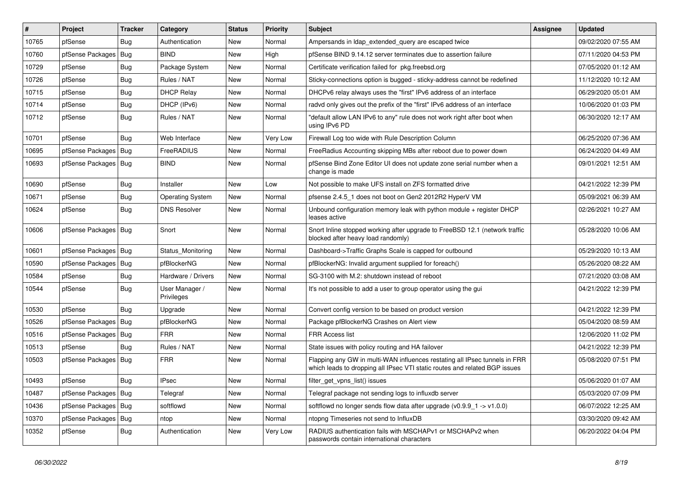| ∦     | Project                | <b>Tracker</b> | Category                     | <b>Status</b> | <b>Priority</b> | <b>Subject</b>                                                                                                                                           | <b>Assignee</b> | <b>Updated</b>      |
|-------|------------------------|----------------|------------------------------|---------------|-----------------|----------------------------------------------------------------------------------------------------------------------------------------------------------|-----------------|---------------------|
| 10765 | pfSense                | Bug            | Authentication               | New           | Normal          | Ampersands in Idap extended query are escaped twice                                                                                                      |                 | 09/02/2020 07:55 AM |
| 10760 | pfSense Packages       | <b>Bug</b>     | <b>BIND</b>                  | <b>New</b>    | High            | pfSense BIND 9.14.12 server terminates due to assertion failure                                                                                          |                 | 07/11/2020 04:53 PM |
| 10729 | pfSense                | <b>Bug</b>     | Package System               | New           | Normal          | Certificate verification failed for pkg.freebsd.org                                                                                                      |                 | 07/05/2020 01:12 AM |
| 10726 | pfSense                | Bug            | Rules / NAT                  | New           | Normal          | Sticky-connections option is bugged - sticky-address cannot be redefined                                                                                 |                 | 11/12/2020 10:12 AM |
| 10715 | pfSense                | Bug            | <b>DHCP Relay</b>            | <b>New</b>    | Normal          | DHCPv6 relay always uses the "first" IPv6 address of an interface                                                                                        |                 | 06/29/2020 05:01 AM |
| 10714 | pfSense                | Bug            | DHCP (IPv6)                  | New           | Normal          | radyd only gives out the prefix of the "first" IPv6 address of an interface                                                                              |                 | 10/06/2020 01:03 PM |
| 10712 | pfSense                | <b>Bug</b>     | Rules / NAT                  | New           | Normal          | "default allow LAN IPv6 to any" rule does not work right after boot when<br>using IPv6 PD                                                                |                 | 06/30/2020 12:17 AM |
| 10701 | pfSense                | <b>Bug</b>     | Web Interface                | New           | Very Low        | Firewall Log too wide with Rule Description Column                                                                                                       |                 | 06/25/2020 07:36 AM |
| 10695 | pfSense Packages       | Bug            | FreeRADIUS                   | New           | Normal          | FreeRadius Accounting skipping MBs after reboot due to power down                                                                                        |                 | 06/24/2020 04:49 AM |
| 10693 | pfSense Packages       | Bug            | <b>BIND</b>                  | New           | Normal          | pfSense Bind Zone Editor UI does not update zone serial number when a<br>change is made                                                                  |                 | 09/01/2021 12:51 AM |
| 10690 | pfSense                | Bug            | Installer                    | <b>New</b>    | Low             | Not possible to make UFS install on ZFS formatted drive                                                                                                  |                 | 04/21/2022 12:39 PM |
| 10671 | pfSense                | <b>Bug</b>     | <b>Operating System</b>      | New           | Normal          | pfsense 2.4.5 1 does not boot on Gen2 2012R2 HyperV VM                                                                                                   |                 | 05/09/2021 06:39 AM |
| 10624 | pfSense                | Bug            | <b>DNS Resolver</b>          | New           | Normal          | Unbound configuration memory leak with python module + register DHCP<br>leases active                                                                    |                 | 02/26/2021 10:27 AM |
| 10606 | pfSense Packages       | Bug            | Snort                        | New           | Normal          | Snort Inline stopped working after upgrade to FreeBSD 12.1 (network traffic<br>blocked after heavy load randomly)                                        |                 | 05/28/2020 10:06 AM |
| 10601 | pfSense Packages       | Bug            | Status Monitoring            | New           | Normal          | Dashboard->Traffic Graphs Scale is capped for outbound                                                                                                   |                 | 05/29/2020 10:13 AM |
| 10590 | pfSense Packages       | Bug            | pfBlockerNG                  | New           | Normal          | pfBlockerNG: Invalid argument supplied for foreach()                                                                                                     |                 | 05/26/2020 08:22 AM |
| 10584 | pfSense                | Bug            | Hardware / Drivers           | New           | Normal          | SG-3100 with M.2: shutdown instead of reboot                                                                                                             |                 | 07/21/2020 03:08 AM |
| 10544 | pfSense                | <b>Bug</b>     | User Manager /<br>Privileges | New           | Normal          | It's not possible to add a user to group operator using the gui                                                                                          |                 | 04/21/2022 12:39 PM |
| 10530 | pfSense                | Bug            | Upgrade                      | New           | Normal          | Convert config version to be based on product version                                                                                                    |                 | 04/21/2022 12:39 PM |
| 10526 | pfSense Packages       | Bug            | pfBlockerNG                  | New           | Normal          | Package pfBlockerNG Crashes on Alert view                                                                                                                |                 | 05/04/2020 08:59 AM |
| 10516 | pfSense Packages       | Bug            | <b>FRR</b>                   | New           | Normal          | FRR Access list                                                                                                                                          |                 | 12/06/2020 11:02 PM |
| 10513 | pfSense                | <b>Bug</b>     | Rules / NAT                  | New           | Normal          | State issues with policy routing and HA failover                                                                                                         |                 | 04/21/2022 12:39 PM |
| 10503 | pfSense Packages   Bug |                | <b>FRR</b>                   | New           | Normal          | Flapping any GW in multi-WAN influences restating all IPsec tunnels in FRR<br>which leads to dropping all IPsec VTI static routes and related BGP issues |                 | 05/08/2020 07:51 PM |
| 10493 | pfSense                | Bug            | <b>IPsec</b>                 | New           | Normal          | filter_get_vpns_list() issues                                                                                                                            |                 | 05/06/2020 01:07 AM |
| 10487 | pfSense Packages   Bug |                | Telegraf                     | New           | Normal          | Telegraf package not sending logs to influxdb server                                                                                                     |                 | 05/03/2020 07:09 PM |
| 10436 | pfSense Packages       | Bug            | softflowd                    | New           | Normal          | softflowd no longer sends flow data after upgrade $(v0.9.9 \text{ m/s} \rightarrow v1.0.0)$                                                              |                 | 06/07/2022 12:25 AM |
| 10370 | pfSense Packages       | Bug            | ntop                         | New           | Normal          | ntopng Timeseries not send to InfluxDB                                                                                                                   |                 | 03/30/2020 09:42 AM |
| 10352 | pfSense                | <b>Bug</b>     | Authentication               | New           | Very Low        | RADIUS authentication fails with MSCHAPv1 or MSCHAPv2 when<br>passwords contain international characters                                                 |                 | 06/20/2022 04:04 PM |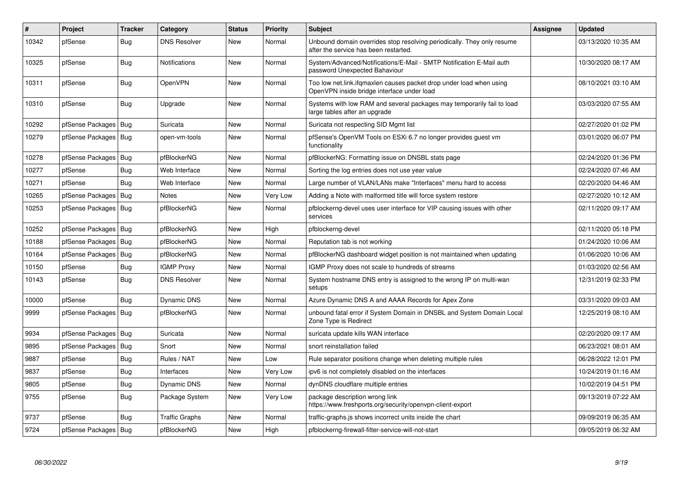| #     | Project                | <b>Tracker</b> | Category            | <b>Status</b> | <b>Priority</b> | <b>Subject</b>                                                                                                    | Assignee | <b>Updated</b>      |
|-------|------------------------|----------------|---------------------|---------------|-----------------|-------------------------------------------------------------------------------------------------------------------|----------|---------------------|
| 10342 | pfSense                | Bug            | <b>DNS Resolver</b> | New           | Normal          | Unbound domain overrides stop resolving periodically. They only resume<br>after the service has been restarted.   |          | 03/13/2020 10:35 AM |
| 10325 | pfSense                | Bug            | Notifications       | New           | Normal          | System/Advanced/Notifications/E-Mail - SMTP Notification E-Mail auth<br>password Unexpected Bahaviour             |          | 10/30/2020 08:17 AM |
| 10311 | pfSense                | <b>Bug</b>     | OpenVPN             | New           | Normal          | Too low net.link.ifgmaxlen causes packet drop under load when using<br>OpenVPN inside bridge interface under load |          | 08/10/2021 03:10 AM |
| 10310 | pfSense                | Bug            | Upgrade             | New           | Normal          | Systems with low RAM and several packages may temporarily fail to load<br>large tables after an upgrade           |          | 03/03/2020 07:55 AM |
| 10292 | pfSense Packages       | Bug            | Suricata            | New           | Normal          | Suricata not respecting SID Mgmt list                                                                             |          | 02/27/2020 01:02 PM |
| 10279 | pfSense Packages   Bug |                | open-vm-tools       | New           | Normal          | pfSense's OpenVM Tools on ESXi 6.7 no longer provides guest vm<br>functionality                                   |          | 03/01/2020 06:07 PM |
| 10278 | pfSense Packages       | Bug            | pfBlockerNG         | <b>New</b>    | Normal          | pfBlockerNG: Formatting issue on DNSBL stats page                                                                 |          | 02/24/2020 01:36 PM |
| 10277 | pfSense                | <b>Bug</b>     | Web Interface       | <b>New</b>    | Normal          | Sorting the log entries does not use year value                                                                   |          | 02/24/2020 07:46 AM |
| 10271 | pfSense                | Bug            | Web Interface       | New           | Normal          | Large number of VLAN/LANs make "Interfaces" menu hard to access                                                   |          | 02/20/2020 04:46 AM |
| 10265 | pfSense Packages       | Bug            | Notes               | New           | Very Low        | Adding a Note with malformed title will force system restore                                                      |          | 02/27/2020 10:12 AM |
| 10253 | pfSense Packages       | Bug            | pfBlockerNG         | New           | Normal          | pfblockerng-devel uses user interface for VIP causing issues with other<br>services                               |          | 02/11/2020 09:17 AM |
| 10252 | pfSense Packages       | Bug            | pfBlockerNG         | New           | High            | pfblockerng-devel                                                                                                 |          | 02/11/2020 05:18 PM |
| 10188 | pfSense Packages       | Bug            | pfBlockerNG         | New           | Normal          | Reputation tab is not working                                                                                     |          | 01/24/2020 10:06 AM |
| 10164 | pfSense Packages       | <b>Bug</b>     | pfBlockerNG         | <b>New</b>    | Normal          | pfBlockerNG dashboard widget position is not maintained when updating                                             |          | 01/06/2020 10:06 AM |
| 10150 | pfSense                | Bug            | <b>IGMP Proxy</b>   | New           | Normal          | IGMP Proxy does not scale to hundreds of streams                                                                  |          | 01/03/2020 02:56 AM |
| 10143 | pfSense                | Bug            | <b>DNS Resolver</b> | New           | Normal          | System hostname DNS entry is assigned to the wrong IP on multi-wan<br>setups                                      |          | 12/31/2019 02:33 PM |
| 10000 | pfSense                | <b>Bug</b>     | <b>Dynamic DNS</b>  | New           | Normal          | Azure Dynamic DNS A and AAAA Records for Apex Zone                                                                |          | 03/31/2020 09:03 AM |
| 9999  | pfSense Packages       | Bug            | pfBlockerNG         | New           | Normal          | unbound fatal error if System Domain in DNSBL and System Domain Local<br>Zone Type is Redirect                    |          | 12/25/2019 08:10 AM |
| 9934  | pfSense Packages       | Bug            | Suricata            | New           | Normal          | suricata update kills WAN interface                                                                               |          | 02/20/2020 09:17 AM |
| 9895  | pfSense Packages       | Bug            | Snort               | New           | Normal          | snort reinstallation failed                                                                                       |          | 06/23/2021 08:01 AM |
| 9887  | pfSense                | Bug            | Rules / NAT         | New           | Low             | Rule separator positions change when deleting multiple rules                                                      |          | 06/28/2022 12:01 PM |
| 9837  | pfSense                | <b>Bug</b>     | Interfaces          | New           | Very Low        | ipv6 is not completely disabled on the interfaces                                                                 |          | 10/24/2019 01:16 AM |
| 9805  | pfSense                | Bug            | Dynamic DNS         | New           | Normal          | dynDNS cloudflare multiple entries                                                                                |          | 10/02/2019 04:51 PM |
| 9755  | pfSense                | Bug            | Package System      | New           | Very Low        | package description wrong link<br>https://www.freshports.org/security/openvpn-client-export                       |          | 09/13/2019 07:22 AM |
| 9737  | pfSense                | Bug            | Traffic Graphs      | New           | Normal          | traffic-graphs is shows incorrect units inside the chart                                                          |          | 09/09/2019 06:35 AM |
| 9724  | pfSense Packages   Bug |                | pfBlockerNG         | New           | High            | pfblockerng-firewall-filter-service-will-not-start                                                                |          | 09/05/2019 06:32 AM |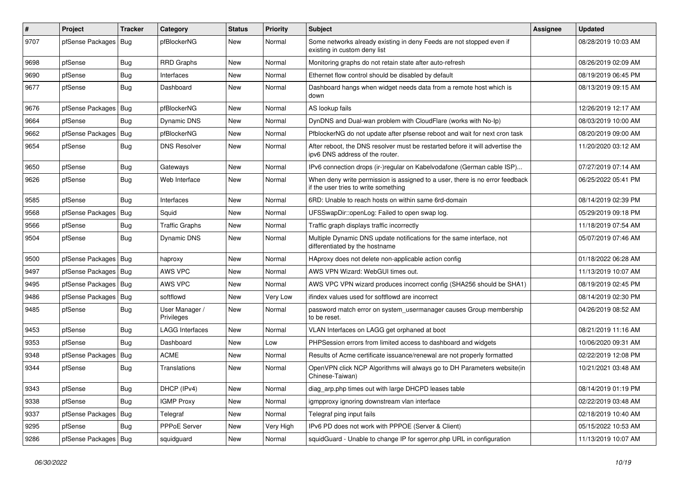| $\sharp$ | <b>Project</b>         | Tracker    | Category                     | <b>Status</b> | <b>Priority</b> | Subject                                                                                                              | <b>Assignee</b> | <b>Updated</b>      |
|----------|------------------------|------------|------------------------------|---------------|-----------------|----------------------------------------------------------------------------------------------------------------------|-----------------|---------------------|
| 9707     | pfSense Packages   Bug |            | pfBlockerNG                  | New           | Normal          | Some networks already existing in deny Feeds are not stopped even if<br>existing in custom deny list                 |                 | 08/28/2019 10:03 AM |
| 9698     | pfSense                | <b>Bug</b> | <b>RRD Graphs</b>            | New           | Normal          | Monitoring graphs do not retain state after auto-refresh                                                             |                 | 08/26/2019 02:09 AM |
| 9690     | pfSense                | <b>Bug</b> | Interfaces                   | New           | Normal          | Ethernet flow control should be disabled by default                                                                  |                 | 08/19/2019 06:45 PM |
| 9677     | pfSense                | <b>Bug</b> | Dashboard                    | New           | Normal          | Dashboard hangs when widget needs data from a remote host which is<br>down                                           |                 | 08/13/2019 09:15 AM |
| 9676     | pfSense Packages   Bug |            | pfBlockerNG                  | New           | Normal          | AS lookup fails                                                                                                      |                 | 12/26/2019 12:17 AM |
| 9664     | pfSense                | Bug        | Dynamic DNS                  | New           | Normal          | DynDNS and Dual-wan problem with CloudFlare (works with No-Ip)                                                       |                 | 08/03/2019 10:00 AM |
| 9662     | pfSense Packages       | Bug        | pfBlockerNG                  | New           | Normal          | PfblockerNG do not update after pfsense reboot and wait for next cron task                                           |                 | 08/20/2019 09:00 AM |
| 9654     | pfSense                | <b>Bug</b> | <b>DNS Resolver</b>          | New           | Normal          | After reboot, the DNS resolver must be restarted before it will advertise the<br>ipv6 DNS address of the router.     |                 | 11/20/2020 03:12 AM |
| 9650     | pfSense                | <b>Bug</b> | Gateways                     | New           | Normal          | IPv6 connection drops (ir-)regular on Kabelvodafone (German cable ISP)                                               |                 | 07/27/2019 07:14 AM |
| 9626     | pfSense                | <b>Bug</b> | Web Interface                | New           | Normal          | When deny write permission is assigned to a user, there is no error feedback<br>if the user tries to write something |                 | 06/25/2022 05:41 PM |
| 9585     | pfSense                | Bug        | Interfaces                   | New           | Normal          | 6RD: Unable to reach hosts on within same 6rd-domain                                                                 |                 | 08/14/2019 02:39 PM |
| 9568     | pfSense Packages       | Bug        | Squid                        | New           | Normal          | UFSSwapDir::openLog: Failed to open swap log.                                                                        |                 | 05/29/2019 09:18 PM |
| 9566     | pfSense                | <b>Bug</b> | <b>Traffic Graphs</b>        | New           | Normal          | Traffic graph displays traffic incorrectly                                                                           |                 | 11/18/2019 07:54 AM |
| 9504     | pfSense                | <b>Bug</b> | Dynamic DNS                  | New           | Normal          | Multiple Dynamic DNS update notifications for the same interface, not<br>differentiated by the hostname              |                 | 05/07/2019 07:46 AM |
| 9500     | pfSense Packages   Bug |            | haproxy                      | New           | Normal          | HAproxy does not delete non-applicable action config                                                                 |                 | 01/18/2022 06:28 AM |
| 9497     | pfSense Packages   Bug |            | AWS VPC                      | New           | Normal          | AWS VPN Wizard: WebGUI times out.                                                                                    |                 | 11/13/2019 10:07 AM |
| 9495     | pfSense Packages   Bug |            | AWS VPC                      | New           | Normal          | AWS VPC VPN wizard produces incorrect config (SHA256 should be SHA1)                                                 |                 | 08/19/2019 02:45 PM |
| 9486     | pfSense Packages   Bug |            | softflowd                    | New           | Very Low        | ifindex values used for softflowd are incorrect                                                                      |                 | 08/14/2019 02:30 PM |
| 9485     | pfSense                | <b>Bug</b> | User Manager /<br>Privileges | New           | Normal          | password match error on system_usermanager causes Group membership<br>to be reset.                                   |                 | 04/26/2019 08:52 AM |
| 9453     | pfSense                | <b>Bug</b> | <b>LAGG Interfaces</b>       | New           | Normal          | VLAN Interfaces on LAGG get orphaned at boot                                                                         |                 | 08/21/2019 11:16 AM |
| 9353     | pfSense                | <b>Bug</b> | Dashboard                    | New           | Low             | PHPSession errors from limited access to dashboard and widgets                                                       |                 | 10/06/2020 09:31 AM |
| 9348     | pfSense Packages       | Bug        | <b>ACME</b>                  | New           | Normal          | Results of Acme certificate issuance/renewal are not properly formatted                                              |                 | 02/22/2019 12:08 PM |
| 9344     | pfSense                | <b>Bug</b> | Translations                 | New           | Normal          | OpenVPN click NCP Algorithms will always go to DH Parameters website(in<br>Chinese-Taiwan)                           |                 | 10/21/2021 03:48 AM |
| 9343     | pfSense                | <b>Bug</b> | DHCP (IPv4)                  | New           | Normal          | diag_arp.php times out with large DHCPD leases table                                                                 |                 | 08/14/2019 01:19 PM |
| 9338     | pfSense                | Bug        | <b>IGMP Proxy</b>            | New           | Normal          | igmpproxy ignoring downstream vlan interface                                                                         |                 | 02/22/2019 03:48 AM |
| 9337     | pfSense Packages   Bug |            | Telegraf                     | New           | Normal          | Telegraf ping input fails                                                                                            |                 | 02/18/2019 10:40 AM |
| 9295     | pfSense                | <b>Bug</b> | PPPoE Server                 | New           | Very High       | IPv6 PD does not work with PPPOE (Server & Client)                                                                   |                 | 05/15/2022 10:53 AM |
| 9286     | pfSense Packages   Bug |            | squidguard                   | New           | Normal          | squidGuard - Unable to change IP for sgerror.php URL in configuration                                                |                 | 11/13/2019 10:07 AM |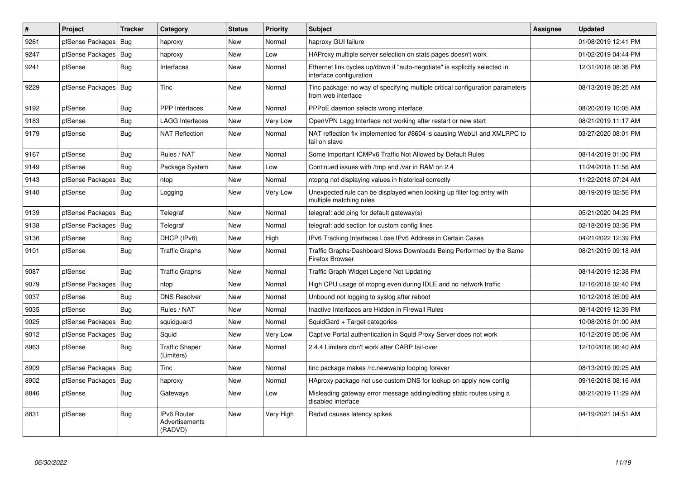| $\vert$ # | Project          | <b>Tracker</b> | Category                                 | <b>Status</b> | <b>Priority</b> | <b>Subject</b>                                                                                        | <b>Assignee</b> | <b>Updated</b>      |
|-----------|------------------|----------------|------------------------------------------|---------------|-----------------|-------------------------------------------------------------------------------------------------------|-----------------|---------------------|
| 9261      | pfSense Packages | Bug            | haproxy                                  | New           | Normal          | haproxy GUI failure                                                                                   |                 | 01/08/2019 12:41 PM |
| 9247      | pfSense Packages | Bug            | haproxy                                  | New           | Low             | HAProxy multiple server selection on stats pages doesn't work                                         |                 | 01/02/2019 04:44 PM |
| 9241      | pfSense          | Bug            | Interfaces                               | New           | Normal          | Ethernet link cycles up/down if "auto-negotiate" is explicitly selected in<br>interface configuration |                 | 12/31/2018 08:36 PM |
| 9229      | pfSense Packages | Bug            | Tinc                                     | <b>New</b>    | Normal          | Tinc package: no way of specifying multiple critical configuration parameters<br>from web interface   |                 | 08/13/2019 09:25 AM |
| 9192      | pfSense          | <b>Bug</b>     | <b>PPP</b> Interfaces                    | <b>New</b>    | Normal          | PPPoE daemon selects wrong interface                                                                  |                 | 08/20/2019 10:05 AM |
| 9183      | pfSense          | <b>Bug</b>     | <b>LAGG Interfaces</b>                   | <b>New</b>    | Very Low        | OpenVPN Lagg Interface not working after restart or new start                                         |                 | 08/21/2019 11:17 AM |
| 9179      | pfSense          | Bug            | <b>NAT Reflection</b>                    | New           | Normal          | NAT reflection fix implemented for #8604 is causing WebUI and XMLRPC to<br>fail on slave              |                 | 03/27/2020 08:01 PM |
| 9167      | pfSense          | <b>Bug</b>     | Rules / NAT                              | <b>New</b>    | Normal          | Some Important ICMPv6 Traffic Not Allowed by Default Rules                                            |                 | 08/14/2019 01:00 PM |
| 9149      | pfSense          | Bug            | Package System                           | New           | Low             | Continued issues with /tmp and /var in RAM on 2.4                                                     |                 | 11/24/2018 11:56 AM |
| 9143      | pfSense Packages | <b>Bug</b>     | ntop                                     | <b>New</b>    | Normal          | ntopng not displaying values in historical correctly                                                  |                 | 11/22/2018 07:24 AM |
| 9140      | pfSense          | <b>Bug</b>     | Logging                                  | New           | Very Low        | Unexpected rule can be displayed when looking up filter log entry with<br>multiple matching rules     |                 | 08/19/2019 02:56 PM |
| 9139      | pfSense Packages | <b>Bug</b>     | Telegraf                                 | New           | Normal          | telegraf: add ping for default gateway(s)                                                             |                 | 05/21/2020 04:23 PM |
| 9138      | pfSense Packages | <b>Bug</b>     | Telegraf                                 | New           | Normal          | telegraf: add section for custom config lines                                                         |                 | 02/18/2019 03:36 PM |
| 9136      | pfSense          | Bug            | DHCP (IPv6)                              | New           | High            | IPv6 Tracking Interfaces Lose IPv6 Address in Certain Cases                                           |                 | 04/21/2022 12:39 PM |
| 9101      | pfSense          | Bug            | <b>Traffic Graphs</b>                    | New           | Normal          | Traffic Graphs/Dashboard Slows Downloads Being Performed by the Same<br>Firefox Browser               |                 | 08/21/2019 09:18 AM |
| 9087      | pfSense          | Bug            | <b>Traffic Graphs</b>                    | New           | Normal          | Traffic Graph Widget Legend Not Updating                                                              |                 | 08/14/2019 12:38 PM |
| 9079      | pfSense Packages | Bug            | ntop                                     | New           | Normal          | High CPU usage of ntopng even during IDLE and no network traffic                                      |                 | 12/16/2018 02:40 PM |
| 9037      | pfSense          | <b>Bug</b>     | <b>DNS Resolver</b>                      | <b>New</b>    | Normal          | Unbound not logging to syslog after reboot                                                            |                 | 10/12/2018 05:09 AM |
| 9035      | pfSense          | Bug            | Rules / NAT                              | New           | Normal          | Inactive Interfaces are Hidden in Firewall Rules                                                      |                 | 08/14/2019 12:39 PM |
| 9025      | pfSense Packages | <b>Bug</b>     | squidguard                               | New           | Normal          | SquidGard + Target categories                                                                         |                 | 10/08/2018 01:00 AM |
| 9012      | pfSense Packages | Bug            | Squid                                    | New           | Very Low        | Captive Portal authentication in Squid Proxy Server does not work                                     |                 | 10/12/2019 05:06 AM |
| 8963      | pfSense          | Bug            | <b>Traffic Shaper</b><br>(Limiters)      | <b>New</b>    | Normal          | 2.4.4 Limiters don't work after CARP fail-over                                                        |                 | 12/10/2018 06:40 AM |
| 8909      | pfSense Packages | <b>Bug</b>     | Tinc                                     | New           | Normal          | tinc package makes /rc.newwanip looping forever                                                       |                 | 08/13/2019 09:25 AM |
| 8902      | pfSense Packages | <b>Bug</b>     | haproxy                                  | <b>New</b>    | Normal          | HAproxy package not use custom DNS for lookup on apply new config                                     |                 | 09/16/2018 08:16 AM |
| 8846      | pfSense          | <b>Bug</b>     | Gateways                                 | New           | Low             | Misleading gateway error message adding/editing static routes using a<br>disabled interface           |                 | 08/21/2019 11:29 AM |
| 8831      | pfSense          | <b>Bug</b>     | IPv6 Router<br>Advertisements<br>(RADVD) | New           | Very High       | Radvd causes latency spikes                                                                           |                 | 04/19/2021 04:51 AM |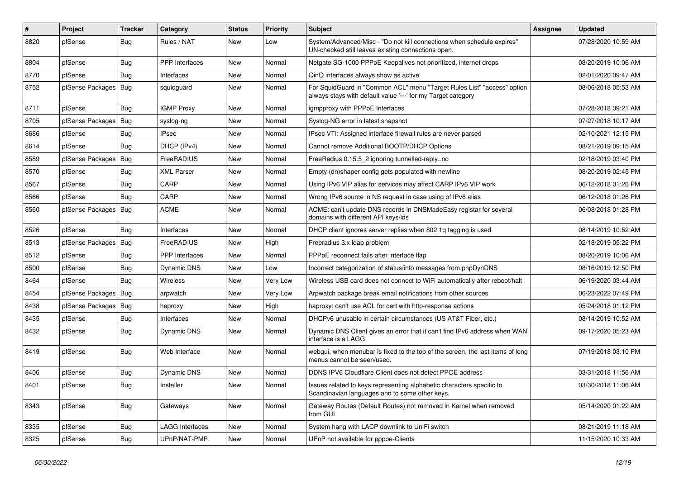| #    | Project                | Tracker    | Category               | <b>Status</b> | <b>Priority</b> | <b>Subject</b>                                                                                                                          | <b>Assignee</b> | <b>Updated</b>      |
|------|------------------------|------------|------------------------|---------------|-----------------|-----------------------------------------------------------------------------------------------------------------------------------------|-----------------|---------------------|
| 8820 | pfSense                | Bug        | Rules / NAT            | New           | Low             | System/Advanced/Misc - "Do not kill connections when schedule expires"<br>UN-checked still leaves existing connections open.            |                 | 07/28/2020 10:59 AM |
| 8804 | pfSense                | Bug        | PPP Interfaces         | New           | Normal          | Netgate SG-1000 PPPoE Keepalives not prioritized, internet drops                                                                        |                 | 08/20/2019 10:06 AM |
| 8770 | pfSense                | <b>Bug</b> | Interfaces             | New           | Normal          | QinQ interfaces always show as active                                                                                                   |                 | 02/01/2020 09:47 AM |
| 8752 | pfSense Packages   Bug |            | squidguard             | New           | Normal          | For SquidGuard in "Common ACL" menu "Target Rules List" "access" option<br>always stays with default value '---' for my Target category |                 | 08/06/2018 05:53 AM |
| 8711 | pfSense                | <b>Bug</b> | <b>IGMP Proxy</b>      | New           | Normal          | igmpproxy with PPPoE Interfaces                                                                                                         |                 | 07/28/2018 09:21 AM |
| 8705 | pfSense Packages       | Bug        | syslog-ng              | New           | Normal          | Syslog-NG error in latest snapshot                                                                                                      |                 | 07/27/2018 10:17 AM |
| 8686 | pfSense                | <b>Bug</b> | <b>IPsec</b>           | New           | Normal          | IPsec VTI: Assigned interface firewall rules are never parsed                                                                           |                 | 02/10/2021 12:15 PM |
| 8614 | pfSense                | <b>Bug</b> | DHCP (IPv4)            | New           | Normal          | Cannot remove Additional BOOTP/DHCP Options                                                                                             |                 | 08/21/2019 09:15 AM |
| 8589 | pfSense Packages       | Bug        | FreeRADIUS             | New           | Normal          | FreeRadius 0.15.5 2 ignoring tunnelled-reply=no                                                                                         |                 | 02/18/2019 03:40 PM |
| 8570 | pfSense                | <b>Bug</b> | <b>XML Parser</b>      | New           | Normal          | Empty (dn)shaper config gets populated with newline                                                                                     |                 | 08/20/2019 02:45 PM |
| 8567 | pfSense                | <b>Bug</b> | CARP                   | New           | Normal          | Using IPv6 VIP alias for services may affect CARP IPv6 VIP work                                                                         |                 | 06/12/2018 01:26 PM |
| 8566 | pfSense                | Bug        | CARP                   | New           | Normal          | Wrong IPv6 source in NS request in case using of IPv6 alias                                                                             |                 | 06/12/2018 01:26 PM |
| 8560 | pfSense Packages   Bug |            | <b>ACME</b>            | New           | Normal          | ACME: can't update DNS records in DNSMadeEasy registar for several<br>domains with different API keys/ids                               |                 | 06/08/2018 01:28 PM |
| 8526 | pfSense                | <b>Bug</b> | Interfaces             | New           | Normal          | DHCP client ignores server replies when 802.1q tagging is used                                                                          |                 | 08/14/2019 10:52 AM |
| 8513 | pfSense Packages       | Bug        | FreeRADIUS             | New           | High            | Freeradius 3.x Idap problem                                                                                                             |                 | 02/18/2019 05:22 PM |
| 8512 | pfSense                | <b>Bug</b> | <b>PPP</b> Interfaces  | New           | Normal          | PPPoE reconnect fails after interface flap                                                                                              |                 | 08/20/2019 10:06 AM |
| 8500 | pfSense                | Bug        | Dynamic DNS            | New           | Low             | Incorrect categorization of status/info messages from phpDynDNS                                                                         |                 | 08/16/2019 12:50 PM |
| 8464 | pfSense                | <b>Bug</b> | <b>Wireless</b>        | New           | Very Low        | Wireless USB card does not connect to WiFi automatically after reboot/halt                                                              |                 | 06/19/2020 03:44 AM |
| 8454 | pfSense Packages   Bug |            | arpwatch               | New           | Very Low        | Arpwatch package break email notifications from other sources                                                                           |                 | 06/23/2022 07:49 PM |
| 8438 | pfSense Packages   Bug |            | haproxy                | New           | High            | haproxy: can't use ACL for cert with http-response actions                                                                              |                 | 05/24/2018 01:12 PM |
| 8435 | pfSense                | <b>Bug</b> | Interfaces             | New           | Normal          | DHCPv6 unusable in certain circumstances (US AT&T Fiber, etc.)                                                                          |                 | 08/14/2019 10:52 AM |
| 8432 | pfSense                | <b>Bug</b> | Dynamic DNS            | New           | Normal          | Dynamic DNS Client gives an error that it can't find IPv6 address when WAN<br>interface is a LAGG                                       |                 | 09/17/2020 05:23 AM |
| 8419 | pfSense                | <b>Bug</b> | Web Interface          | New           | Normal          | webgui, when menubar is fixed to the top of the screen, the last items of long<br>menus cannot be seen/used.                            |                 | 07/19/2018 03:10 PM |
| 8406 | pfSense                | Bug        | Dynamic DNS            | New           | Normal          | DDNS IPV6 Cloudflare Client does not detect PPOE address                                                                                |                 | 03/31/2018 11:56 AM |
| 8401 | ptSense                | Bug        | Installer              | New           | Normal          | Issues related to keys representing alphabetic characters specific to<br>Scandinavian languages and to some other keys.                 |                 | 03/30/2018 11:06 AM |
| 8343 | pfSense                | <b>Bug</b> | Gateways               | New           | Normal          | Gateway Routes (Default Routes) not removed in Kernel when removed<br>from GUI                                                          |                 | 05/14/2020 01:22 AM |
| 8335 | pfSense                | Bug        | <b>LAGG Interfaces</b> | New           | Normal          | System hang with LACP downlink to UniFi switch                                                                                          |                 | 08/21/2019 11:18 AM |
| 8325 | pfSense                | <b>Bug</b> | UPnP/NAT-PMP           | New           | Normal          | UPnP not available for pppoe-Clients                                                                                                    |                 | 11/15/2020 10:33 AM |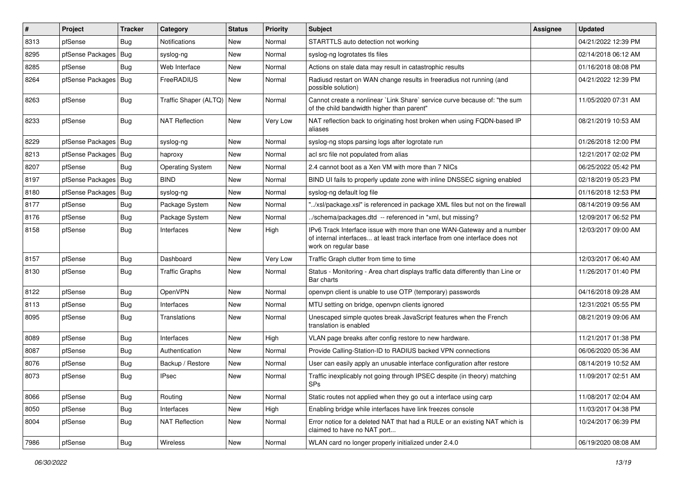| $\vert$ # | Project          | <b>Tracker</b> | Category                | <b>Status</b> | <b>Priority</b> | <b>Subject</b>                                                                                                                                                                | Assignee | <b>Updated</b>      |
|-----------|------------------|----------------|-------------------------|---------------|-----------------|-------------------------------------------------------------------------------------------------------------------------------------------------------------------------------|----------|---------------------|
| 8313      | pfSense          | Bug            | Notifications           | New           | Normal          | STARTTLS auto detection not working                                                                                                                                           |          | 04/21/2022 12:39 PM |
| 8295      | pfSense Packages | <b>Bug</b>     | syslog-ng               | New           | Normal          | syslog-ng logrotates tls files                                                                                                                                                |          | 02/14/2018 06:12 AM |
| 8285      | pfSense          | <b>Bug</b>     | Web Interface           | New           | Normal          | Actions on stale data may result in catastrophic results                                                                                                                      |          | 01/16/2018 08:08 PM |
| 8264      | pfSense Packages | Bug            | FreeRADIUS              | New           | Normal          | Radiusd restart on WAN change results in freeradius not running (and<br>possible solution)                                                                                    |          | 04/21/2022 12:39 PM |
| 8263      | pfSense          | Bug            | Traffic Shaper (ALTQ)   | New           | Normal          | Cannot create a nonlinear `Link Share` service curve because of: "the sum<br>of the child bandwidth higher than parent"                                                       |          | 11/05/2020 07:31 AM |
| 8233      | pfSense          | <b>Bug</b>     | <b>NAT Reflection</b>   | New           | Very Low        | NAT reflection back to originating host broken when using FQDN-based IP<br>aliases                                                                                            |          | 08/21/2019 10:53 AM |
| 8229      | pfSense Packages | <b>Bug</b>     | syslog-ng               | New           | Normal          | syslog-ng stops parsing logs after logrotate run                                                                                                                              |          | 01/26/2018 12:00 PM |
| 8213      | pfSense Packages | Bug            | haproxy                 | New           | Normal          | acl src file not populated from alias                                                                                                                                         |          | 12/21/2017 02:02 PM |
| 8207      | pfSense          | <b>Bug</b>     | <b>Operating System</b> | New           | Normal          | 2.4 cannot boot as a Xen VM with more than 7 NICs                                                                                                                             |          | 06/25/2022 05:42 PM |
| 8197      | pfSense Packages | Bug            | <b>BIND</b>             | New           | Normal          | BIND UI fails to properly update zone with inline DNSSEC signing enabled                                                                                                      |          | 02/18/2019 05:23 PM |
| 8180      | pfSense Packages | Bug            | syslog-ng               | New           | Normal          | syslog-ng default log file                                                                                                                                                    |          | 01/16/2018 12:53 PM |
| 8177      | pfSense          | Bug            | Package System          | New           | Normal          | "/xsl/package.xsl" is referenced in package XML files but not on the firewall                                                                                                 |          | 08/14/2019 09:56 AM |
| 8176      | pfSense          | Bug            | Package System          | New           | Normal          | /schema/packages.dtd -- referenced in *xml, but missing?                                                                                                                      |          | 12/09/2017 06:52 PM |
| 8158      | pfSense          | Bug            | Interfaces              | New           | High            | IPv6 Track Interface issue with more than one WAN-Gateway and a number<br>of internal interfaces at least track interface from one interface does not<br>work on regular base |          | 12/03/2017 09:00 AM |
| 8157      | pfSense          | <b>Bug</b>     | Dashboard               | New           | Very Low        | Traffic Graph clutter from time to time                                                                                                                                       |          | 12/03/2017 06:40 AM |
| 8130      | pfSense          | <b>Bug</b>     | <b>Traffic Graphs</b>   | New           | Normal          | Status - Monitoring - Area chart displays traffic data differently than Line or<br>Bar charts                                                                                 |          | 11/26/2017 01:40 PM |
| 8122      | pfSense          | Bug            | OpenVPN                 | New           | Normal          | openvpn client is unable to use OTP (temporary) passwords                                                                                                                     |          | 04/16/2018 09:28 AM |
| 8113      | pfSense          | Bug            | Interfaces              | New           | Normal          | MTU setting on bridge, openvpn clients ignored                                                                                                                                |          | 12/31/2021 05:55 PM |
| 8095      | pfSense          | Bug            | Translations            | New           | Normal          | Unescaped simple quotes break JavaScript features when the French<br>translation is enabled                                                                                   |          | 08/21/2019 09:06 AM |
| 8089      | pfSense          | Bug            | Interfaces              | New           | High            | VLAN page breaks after config restore to new hardware.                                                                                                                        |          | 11/21/2017 01:38 PM |
| 8087      | pfSense          | Bug            | Authentication          | New           | Normal          | Provide Calling-Station-ID to RADIUS backed VPN connections                                                                                                                   |          | 06/06/2020 05:36 AM |
| 8076      | pfSense          | <b>Bug</b>     | Backup / Restore        | New           | Normal          | User can easily apply an unusable interface configuration after restore                                                                                                       |          | 08/14/2019 10:52 AM |
| 8073      | pfSense          | <b>Bug</b>     | <b>IPsec</b>            | New           | Normal          | Traffic inexplicably not going through IPSEC despite (in theory) matching<br><b>SPs</b>                                                                                       |          | 11/09/2017 02:51 AM |
| 8066      | pfSense          | <b>Bug</b>     | Routing                 | New           | Normal          | Static routes not applied when they go out a interface using carp                                                                                                             |          | 11/08/2017 02:04 AM |
| 8050      | pfSense          | Bug            | Interfaces              | New           | High            | Enabling bridge while interfaces have link freezes console                                                                                                                    |          | 11/03/2017 04:38 PM |
| 8004      | pfSense          | <b>Bug</b>     | <b>NAT Reflection</b>   | New           | Normal          | Error notice for a deleted NAT that had a RULE or an existing NAT which is<br>claimed to have no NAT port                                                                     |          | 10/24/2017 06:39 PM |
| 7986      | pfSense          | <b>Bug</b>     | Wireless                | New           | Normal          | WLAN card no longer properly initialized under 2.4.0                                                                                                                          |          | 06/19/2020 08:08 AM |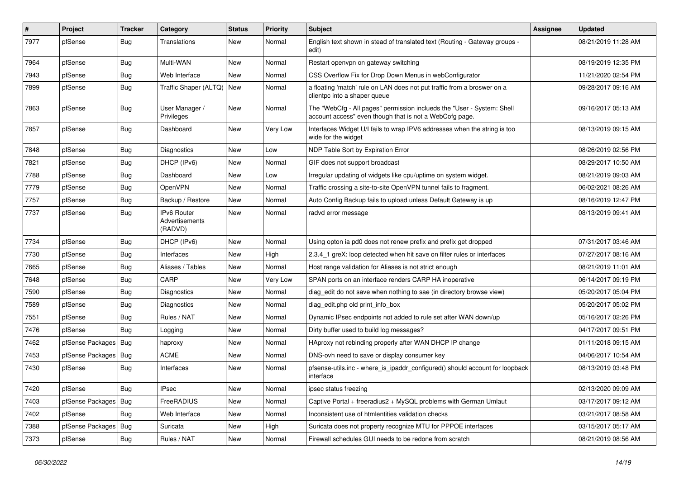| $\vert$ # | Project          | <b>Tracker</b> | Category                                        | <b>Status</b> | <b>Priority</b> | <b>Subject</b>                                                                                                                    | Assignee | <b>Updated</b>      |
|-----------|------------------|----------------|-------------------------------------------------|---------------|-----------------|-----------------------------------------------------------------------------------------------------------------------------------|----------|---------------------|
| 7977      | pfSense          | <b>Bug</b>     | Translations                                    | New           | Normal          | English text shown in stead of translated text (Routing - Gateway groups -<br>edit)                                               |          | 08/21/2019 11:28 AM |
| 7964      | pfSense          | Bug            | Multi-WAN                                       | New           | Normal          | Restart openypn on gateway switching                                                                                              |          | 08/19/2019 12:35 PM |
| 7943      | pfSense          | Bug            | Web Interface                                   | New           | Normal          | CSS Overflow Fix for Drop Down Menus in webConfigurator                                                                           |          | 11/21/2020 02:54 PM |
| 7899      | pfSense          | Bug            | Traffic Shaper (ALTQ) New                       |               | Normal          | a floating 'match' rule on LAN does not put traffic from a broswer on a<br>clientpc into a shaper queue                           |          | 09/28/2017 09:16 AM |
| 7863      | pfSense          | <b>Bug</b>     | User Manager /<br>Privileges                    | New           | Normal          | The "WebCfg - All pages" permission inclueds the "User - System: Shell<br>account access" even though that is not a WebCofg page. |          | 09/16/2017 05:13 AM |
| 7857      | pfSense          | Bug            | Dashboard                                       | New           | Very Low        | Interfaces Widget U/I fails to wrap IPV6 addresses when the string is too<br>wide for the widget                                  |          | 08/13/2019 09:15 AM |
| 7848      | pfSense          | Bug            | Diagnostics                                     | New           | Low             | NDP Table Sort by Expiration Error                                                                                                |          | 08/26/2019 02:56 PM |
| 7821      | pfSense          | Bug            | DHCP (IPv6)                                     | New           | Normal          | GIF does not support broadcast                                                                                                    |          | 08/29/2017 10:50 AM |
| 7788      | pfSense          | Bug            | Dashboard                                       | New           | Low             | Irregular updating of widgets like cpu/uptime on system widget.                                                                   |          | 08/21/2019 09:03 AM |
| 7779      | pfSense          | Bug            | OpenVPN                                         | New           | Normal          | Traffic crossing a site-to-site OpenVPN tunnel fails to fragment.                                                                 |          | 06/02/2021 08:26 AM |
| 7757      | pfSense          | Bug            | Backup / Restore                                | New           | Normal          | Auto Config Backup fails to upload unless Default Gateway is up                                                                   |          | 08/16/2019 12:47 PM |
| 7737      | pfSense          | Bug            | <b>IPv6 Router</b><br>Advertisements<br>(RADVD) | New           | Normal          | radvd error message                                                                                                               |          | 08/13/2019 09:41 AM |
| 7734      | pfSense          | <b>Bug</b>     | DHCP (IPv6)                                     | New           | Normal          | Using opton ia pd0 does not renew prefix and prefix get dropped                                                                   |          | 07/31/2017 03:46 AM |
| 7730      | pfSense          | Bug            | Interfaces                                      | New           | High            | 2.3.4_1 greX: loop detected when hit save on filter rules or interfaces                                                           |          | 07/27/2017 08:16 AM |
| 7665      | pfSense          | Bug            | Aliases / Tables                                | New           | Normal          | Host range validation for Aliases is not strict enough                                                                            |          | 08/21/2019 11:01 AM |
| 7648      | pfSense          | <b>Bug</b>     | CARP                                            | New           | Very Low        | SPAN ports on an interface renders CARP HA inoperative                                                                            |          | 06/14/2017 09:19 PM |
| 7590      | pfSense          | <b>Bug</b>     | Diagnostics                                     | New           | Normal          | diag edit do not save when nothing to sae (in directory browse view)                                                              |          | 05/20/2017 05:04 PM |
| 7589      | pfSense          | <b>Bug</b>     | Diagnostics                                     | New           | Normal          | diag edit.php old print info box                                                                                                  |          | 05/20/2017 05:02 PM |
| 7551      | pfSense          | Bug            | Rules / NAT                                     | New           | Normal          | Dynamic IPsec endpoints not added to rule set after WAN down/up                                                                   |          | 05/16/2017 02:26 PM |
| 7476      | pfSense          | Bug            | Logging                                         | New           | Normal          | Dirty buffer used to build log messages?                                                                                          |          | 04/17/2017 09:51 PM |
| 7462      | pfSense Packages | Bug            | haproxy                                         | New           | Normal          | HAproxy not rebinding properly after WAN DHCP IP change                                                                           |          | 01/11/2018 09:15 AM |
| 7453      | pfSense Packages | Bug            | <b>ACME</b>                                     | New           | Normal          | DNS-ovh need to save or display consumer key                                                                                      |          | 04/06/2017 10:54 AM |
| 7430      | pfSense          | Bug            | Interfaces                                      | New           | Normal          | pfsense-utils.inc - where_is_ipaddr_configured() should account for loopback<br>interface                                         |          | 08/13/2019 03:48 PM |
| 7420      | pfSense          | Bug            | <b>IPsec</b>                                    | New           | Normal          | ipsec status freezing                                                                                                             |          | 02/13/2020 09:09 AM |
| 7403      | pfSense Packages | <b>Bug</b>     | FreeRADIUS                                      | New           | Normal          | Captive Portal + freeradius2 + MySQL problems with German Umlaut                                                                  |          | 03/17/2017 09:12 AM |
| 7402      | pfSense          | <b>Bug</b>     | Web Interface                                   | New           | Normal          | Inconsistent use of htmlentities validation checks                                                                                |          | 03/21/2017 08:58 AM |
| 7388      | pfSense Packages | <b>Bug</b>     | Suricata                                        | New           | High            | Suricata does not property recognize MTU for PPPOE interfaces                                                                     |          | 03/15/2017 05:17 AM |
| 7373      | pfSense          | Bug            | Rules / NAT                                     | New           | Normal          | Firewall schedules GUI needs to be redone from scratch                                                                            |          | 08/21/2019 08:56 AM |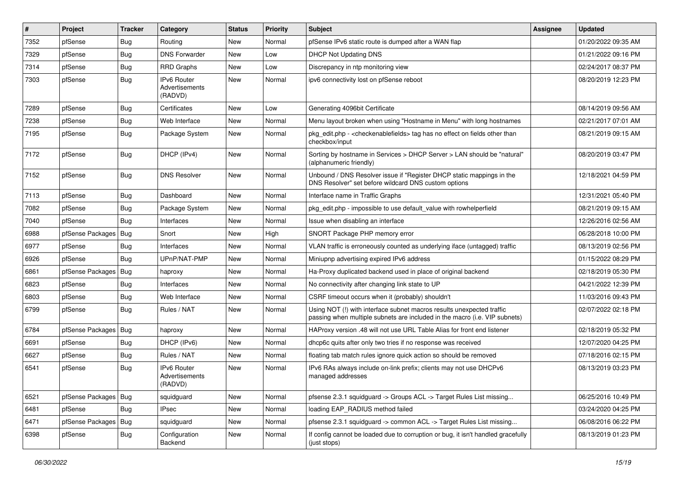| $\#$ | Project                | <b>Tracker</b> | Category                                        | <b>Status</b> | <b>Priority</b> | <b>Subject</b>                                                                                                                                      | Assignee | <b>Updated</b>      |
|------|------------------------|----------------|-------------------------------------------------|---------------|-----------------|-----------------------------------------------------------------------------------------------------------------------------------------------------|----------|---------------------|
| 7352 | pfSense                | <b>Bug</b>     | Routing                                         | <b>New</b>    | Normal          | pfSense IPv6 static route is dumped after a WAN flap                                                                                                |          | 01/20/2022 09:35 AM |
| 7329 | pfSense                | <b>Bug</b>     | <b>DNS Forwarder</b>                            | New           | Low             | <b>DHCP Not Updating DNS</b>                                                                                                                        |          | 01/21/2022 09:16 PM |
| 7314 | pfSense                | <b>Bug</b>     | <b>RRD Graphs</b>                               | <b>New</b>    | Low             | Discrepancy in ntp monitoring view                                                                                                                  |          | 02/24/2017 08:37 PM |
| 7303 | pfSense                | Bug            | IPv6 Router<br>Advertisements<br>(RADVD)        | New           | Normal          | ipv6 connectivity lost on pfSense reboot                                                                                                            |          | 08/20/2019 12:23 PM |
| 7289 | pfSense                | Bug            | Certificates                                    | <b>New</b>    | Low             | Generating 4096bit Certificate                                                                                                                      |          | 08/14/2019 09:56 AM |
| 7238 | pfSense                | Bug            | Web Interface                                   | New           | Normal          | Menu layout broken when using "Hostname in Menu" with long hostnames                                                                                |          | 02/21/2017 07:01 AM |
| 7195 | pfSense                | Bug            | Package System                                  | New           | Normal          | pkg_edit.php - <checkenablefields> tag has no effect on fields other than<br/>checkbox/input</checkenablefields>                                    |          | 08/21/2019 09:15 AM |
| 7172 | pfSense                | <b>Bug</b>     | DHCP (IPv4)                                     | <b>New</b>    | Normal          | Sorting by hostname in Services > DHCP Server > LAN should be "natural"<br>(alphanumeric friendly)                                                  |          | 08/20/2019 03:47 PM |
| 7152 | pfSense                | Bug            | <b>DNS Resolver</b>                             | <b>New</b>    | Normal          | Unbound / DNS Resolver issue if "Register DHCP static mappings in the<br>DNS Resolver" set before wildcard DNS custom options                       |          | 12/18/2021 04:59 PM |
| 7113 | pfSense                | Bug            | Dashboard                                       | <b>New</b>    | Normal          | Interface name in Traffic Graphs                                                                                                                    |          | 12/31/2021 05:40 PM |
| 7082 | pfSense                | Bug            | Package System                                  | <b>New</b>    | Normal          | pkg edit.php - impossible to use default value with rowhelperfield                                                                                  |          | 08/21/2019 09:15 AM |
| 7040 | pfSense                | Bug            | Interfaces                                      | New           | Normal          | Issue when disabling an interface                                                                                                                   |          | 12/26/2016 02:56 AM |
| 6988 | pfSense Packages       | Bug            | Snort                                           | <b>New</b>    | High            | SNORT Package PHP memory error                                                                                                                      |          | 06/28/2018 10:00 PM |
| 6977 | pfSense                | <b>Bug</b>     | Interfaces                                      | New           | Normal          | VLAN traffic is erroneously counted as underlying iface (untagged) traffic                                                                          |          | 08/13/2019 02:56 PM |
| 6926 | pfSense                | Bug            | UPnP/NAT-PMP                                    | New           | Normal          | Miniupnp advertising expired IPv6 address                                                                                                           |          | 01/15/2022 08:29 PM |
| 6861 | pfSense Packages       | Bug            | haproxy                                         | New           | Normal          | Ha-Proxy duplicated backend used in place of original backend                                                                                       |          | 02/18/2019 05:30 PM |
| 6823 | pfSense                | <b>Bug</b>     | Interfaces                                      | New           | Normal          | No connectivity after changing link state to UP                                                                                                     |          | 04/21/2022 12:39 PM |
| 6803 | pfSense                | Bug            | Web Interface                                   | New           | Normal          | CSRF timeout occurs when it (probably) shouldn't                                                                                                    |          | 11/03/2016 09:43 PM |
| 6799 | pfSense                | Bug            | Rules / NAT                                     | New           | Normal          | Using NOT (!) with interface subnet macros results unexpected traffic<br>passing when multiple subnets are included in the macro (i.e. VIP subnets) |          | 02/07/2022 02:18 PM |
| 6784 | pfSense Packages       | Bug            | haproxy                                         | <b>New</b>    | Normal          | HAProxy version .48 will not use URL Table Alias for front end listener                                                                             |          | 02/18/2019 05:32 PM |
| 6691 | pfSense                | <b>Bug</b>     | DHCP (IPv6)                                     | New           | Normal          | dhcp6c quits after only two tries if no response was received                                                                                       |          | 12/07/2020 04:25 PM |
| 6627 | pfSense                | Bug            | Rules / NAT                                     | New           | Normal          | floating tab match rules ignore quick action so should be removed                                                                                   |          | 07/18/2016 02:15 PM |
| 6541 | pfSense                | <b>Bug</b>     | <b>IPv6 Router</b><br>Advertisements<br>(RADVD) | New           | Normal          | IPv6 RAs always include on-link prefix; clients may not use DHCPv6<br>managed addresses                                                             |          | 08/13/2019 03:23 PM |
| 6521 | pfSense Packages   Bug |                | squidguard                                      | New           | Normal          | pfsense 2.3.1 squidguard -> Groups ACL -> Target Rules List missing                                                                                 |          | 06/25/2016 10:49 PM |
| 6481 | pfSense                | <b>Bug</b>     | <b>IPsec</b>                                    | New           | Normal          | loading EAP_RADIUS method failed                                                                                                                    |          | 03/24/2020 04:25 PM |
| 6471 | pfSense Packages       | <b>Bug</b>     | squidguard                                      | New           | Normal          | pfsense 2.3.1 squidguard -> common ACL -> Target Rules List missing                                                                                 |          | 06/08/2016 06:22 PM |
| 6398 | pfSense                | <b>Bug</b>     | Configuration<br>Backend                        | New           | Normal          | If config cannot be loaded due to corruption or bug, it isn't handled gracefully<br>(just stops)                                                    |          | 08/13/2019 01:23 PM |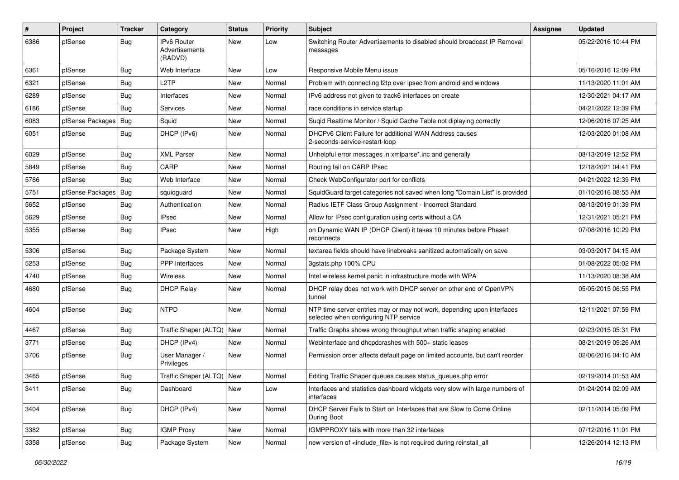| $\vert$ # | Project          | <b>Tracker</b> | Category                                        | <b>Status</b> | Priority | <b>Subject</b>                                                                                                  | <b>Assignee</b> | <b>Updated</b>      |
|-----------|------------------|----------------|-------------------------------------------------|---------------|----------|-----------------------------------------------------------------------------------------------------------------|-----------------|---------------------|
| 6386      | pfSense          | Bug            | <b>IPv6 Router</b><br>Advertisements<br>(RADVD) | New           | Low      | Switching Router Advertisements to disabled should broadcast IP Removal<br>messages                             |                 | 05/22/2016 10:44 PM |
| 6361      | pfSense          | <b>Bug</b>     | Web Interface                                   | New           | Low      | Responsive Mobile Menu issue                                                                                    |                 | 05/16/2016 12:09 PM |
| 6321      | pfSense          | <b>Bug</b>     | L <sub>2</sub> TP                               | New           | Normal   | Problem with connecting I2tp over ipsec from android and windows                                                |                 | 11/13/2020 11:01 AM |
| 6289      | pfSense          | Bug            | Interfaces                                      | New           | Normal   | IPv6 address not given to track6 interfaces on create                                                           |                 | 12/30/2021 04:17 AM |
| 6186      | pfSense          | Bug            | Services                                        | New           | Normal   | race conditions in service startup                                                                              |                 | 04/21/2022 12:39 PM |
| 6083      | pfSense Packages | Bug            | Squid                                           | New           | Normal   | Suqid Realtime Monitor / Squid Cache Table not diplaying correctly                                              |                 | 12/06/2016 07:25 AM |
| 6051      | pfSense          | <b>Bug</b>     | DHCP (IPv6)                                     | New           | Normal   | DHCPv6 Client Failure for additional WAN Address causes<br>2-seconds-service-restart-loop                       |                 | 12/03/2020 01:08 AM |
| 6029      | pfSense          | Bug            | <b>XML Parser</b>                               | New           | Normal   | Unhelpful error messages in xmlparse*.inc and generally                                                         |                 | 08/13/2019 12:52 PM |
| 5849      | pfSense          | <b>Bug</b>     | CARP                                            | New           | Normal   | Routing fail on CARP IPsec                                                                                      |                 | 12/18/2021 04:41 PM |
| 5786      | pfSense          | Bug            | Web Interface                                   | New           | Normal   | Check WebConfigurator port for conflicts                                                                        |                 | 04/21/2022 12:39 PM |
| 5751      | pfSense Packages | <b>Bug</b>     | squidguard                                      | New           | Normal   | SquidGuard target categories not saved when long "Domain List" is provided                                      |                 | 01/10/2016 08:55 AM |
| 5652      | pfSense          | <b>Bug</b>     | Authentication                                  | New           | Normal   | Radius IETF Class Group Assignment - Incorrect Standard                                                         |                 | 08/13/2019 01:39 PM |
| 5629      | pfSense          | Bug            | <b>IPsec</b>                                    | New           | Normal   | Allow for IPsec configuration using certs without a CA                                                          |                 | 12/31/2021 05:21 PM |
| 5355      | pfSense          | Bug            | <b>IPsec</b>                                    | New           | High     | on Dynamic WAN IP (DHCP Client) it takes 10 minutes before Phase1<br>reconnects                                 |                 | 07/08/2016 10:29 PM |
| 5306      | pfSense          | Bug            | Package System                                  | New           | Normal   | textarea fields should have linebreaks sanitized automatically on save                                          |                 | 03/03/2017 04:15 AM |
| 5253      | pfSense          | Bug            | <b>PPP</b> Interfaces                           | New           | Normal   | 3gstats.php 100% CPU                                                                                            |                 | 01/08/2022 05:02 PM |
| 4740      | pfSense          | <b>Bug</b>     | Wireless                                        | New           | Normal   | Intel wireless kernel panic in infrastructure mode with WPA                                                     |                 | 11/13/2020 08:38 AM |
| 4680      | pfSense          | Bug            | <b>DHCP Relay</b>                               | New           | Normal   | DHCP relay does not work with DHCP server on other end of OpenVPN<br>tunnel                                     |                 | 05/05/2015 06:55 PM |
| 4604      | pfSense          | Bug            | <b>NTPD</b>                                     | New           | Normal   | NTP time server entries may or may not work, depending upon interfaces<br>selected when configuring NTP service |                 | 12/11/2021 07:59 PM |
| 4467      | pfSense          | Bug            | Traffic Shaper (ALTQ)   New                     |               | Normal   | Traffic Graphs shows wrong throughput when traffic shaping enabled                                              |                 | 02/23/2015 05:31 PM |
| 3771      | pfSense          | Bug            | DHCP (IPv4)                                     | New           | Normal   | Webinterface and dhcpdcrashes with 500+ static leases                                                           |                 | 08/21/2019 09:26 AM |
| 3706      | pfSense          | <b>Bug</b>     | User Manager /<br>Privileges                    | New           | Normal   | Permission order affects default page on limited accounts, but can't reorder                                    |                 | 02/06/2016 04:10 AM |
| 3465      | pfSense          | <b>Bug</b>     | Traffic Shaper (ALTQ)   New                     |               | Normal   | Editing Traffic Shaper queues causes status_queues.php error                                                    |                 | 02/19/2014 01:53 AM |
| 3411      | pfSense          | Bug            | Dashboard                                       | New           | Low      | Interfaces and statistics dashboard widgets very slow with large numbers of<br>interfaces                       |                 | 01/24/2014 02:09 AM |
| 3404      | pfSense          | <b>Bug</b>     | DHCP (IPv4)                                     | New           | Normal   | DHCP Server Fails to Start on Interfaces that are Slow to Come Online<br>During Boot                            |                 | 02/11/2014 05:09 PM |
| 3382      | pfSense          | Bug            | <b>IGMP Proxy</b>                               | New           | Normal   | IGMPPROXY fails with more than 32 interfaces                                                                    |                 | 07/12/2016 11:01 PM |
| 3358      | pfSense          | Bug            | Package System                                  | New           | Normal   | new version of <include_file> is not required during reinstall_all</include_file>                               |                 | 12/26/2014 12:13 PM |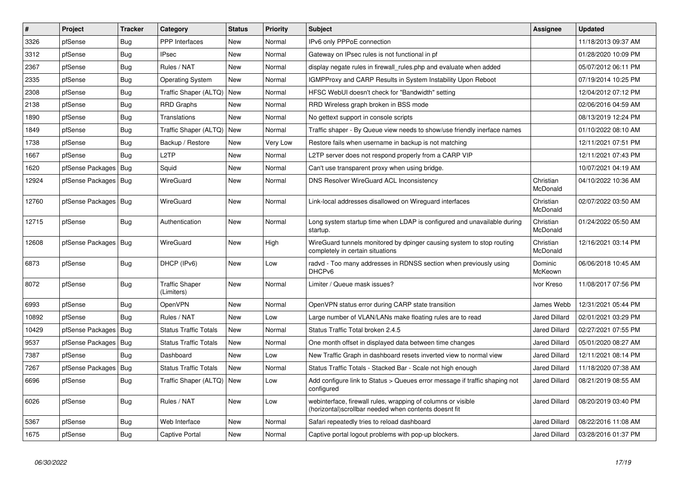| #     | Project          | <b>Tracker</b> | Category                            | <b>Status</b> | <b>Priority</b> | <b>Subject</b>                                                                                                         | <b>Assignee</b>       | <b>Updated</b>      |
|-------|------------------|----------------|-------------------------------------|---------------|-----------------|------------------------------------------------------------------------------------------------------------------------|-----------------------|---------------------|
| 3326  | pfSense          | <b>Bug</b>     | <b>PPP</b> Interfaces               | <b>New</b>    | Normal          | IPv6 only PPPoE connection                                                                                             |                       | 11/18/2013 09:37 AM |
| 3312  | pfSense          | <b>Bug</b>     | <b>IPsec</b>                        | <b>New</b>    | Normal          | Gateway on IPsec rules is not functional in pf                                                                         |                       | 01/28/2020 10:09 PM |
| 2367  | pfSense          | <b>Bug</b>     | Rules / NAT                         | New           | Normal          | display negate rules in firewall rules php and evaluate when added                                                     |                       | 05/07/2012 06:11 PM |
| 2335  | pfSense          | <b>Bug</b>     | <b>Operating System</b>             | New           | Normal          | IGMPProxy and CARP Results in System Instability Upon Reboot                                                           |                       | 07/19/2014 10:25 PM |
| 2308  | pfSense          | <b>Bug</b>     | Traffic Shaper (ALTQ)               | <b>New</b>    | Normal          | HFSC WebUI doesn't check for "Bandwidth" setting                                                                       |                       | 12/04/2012 07:12 PM |
| 2138  | pfSense          | <b>Bug</b>     | <b>RRD Graphs</b>                   | New           | Normal          | RRD Wireless graph broken in BSS mode                                                                                  |                       | 02/06/2016 04:59 AM |
| 1890  | pfSense          | Bug            | Translations                        | New           | Normal          | No gettext support in console scripts                                                                                  |                       | 08/13/2019 12:24 PM |
| 1849  | pfSense          | <b>Bug</b>     | Traffic Shaper (ALTQ)               | New           | Normal          | Traffic shaper - By Queue view needs to show/use friendly inerface names                                               |                       | 01/10/2022 08:10 AM |
| 1738  | pfSense          | <b>Bug</b>     | Backup / Restore                    | New           | Very Low        | Restore fails when username in backup is not matching                                                                  |                       | 12/11/2021 07:51 PM |
| 1667  | pfSense          | <b>Bug</b>     | L <sub>2</sub> TP                   | New           | Normal          | L2TP server does not respond properly from a CARP VIP                                                                  |                       | 12/11/2021 07:43 PM |
| 1620  | pfSense Packages | Bug            | Squid                               | New           | Normal          | Can't use transparent proxy when using bridge.                                                                         |                       | 10/07/2021 04:19 AM |
| 12924 | pfSense Packages | <b>Bug</b>     | WireGuard                           | New           | Normal          | <b>DNS Resolver WireGuard ACL Inconsistency</b>                                                                        | Christian<br>McDonald | 04/10/2022 10:36 AM |
| 12760 | pfSense Packages | <b>Bug</b>     | WireGuard                           | <b>New</b>    | Normal          | Link-local addresses disallowed on Wireguard interfaces                                                                | Christian<br>McDonald | 02/07/2022 03:50 AM |
| 12715 | pfSense          | <b>Bug</b>     | Authentication                      | New           | Normal          | Long system startup time when LDAP is configured and unavailable during<br>startup.                                    | Christian<br>McDonald | 01/24/2022 05:50 AM |
| 12608 | pfSense Packages | Bug            | WireGuard                           | New           | High            | WireGuard tunnels monitored by dpinger causing system to stop routing<br>completely in certain situations              | Christian<br>McDonald | 12/16/2021 03:14 PM |
| 6873  | pfSense          | <b>Bug</b>     | DHCP (IPv6)                         | New           | Low             | radvd - Too many addresses in RDNSS section when previously using<br>DHCPv6                                            | Dominic<br>McKeown    | 06/06/2018 10:45 AM |
| 8072  | pfSense          | <b>Bug</b>     | <b>Traffic Shaper</b><br>(Limiters) | <b>New</b>    | Normal          | Limiter / Queue mask issues?                                                                                           | Ivor Kreso            | 11/08/2017 07:56 PM |
| 6993  | pfSense          | <b>Bug</b>     | OpenVPN                             | New           | Normal          | OpenVPN status error during CARP state transition                                                                      | James Webb            | 12/31/2021 05:44 PM |
| 10892 | pfSense          | Bug            | Rules / NAT                         | New           | Low             | Large number of VLAN/LANs make floating rules are to read                                                              | Jared Dillard         | 02/01/2021 03:29 PM |
| 10429 | pfSense Packages | Bug            | <b>Status Traffic Totals</b>        | New           | Normal          | Status Traffic Total broken 2.4.5                                                                                      | Jared Dillard         | 02/27/2021 07:55 PM |
| 9537  | pfSense Packages | Bug            | <b>Status Traffic Totals</b>        | New           | Normal          | One month offset in displayed data between time changes                                                                | Jared Dillard         | 05/01/2020 08:27 AM |
| 7387  | pfSense          | <b>Bug</b>     | Dashboard                           | <b>New</b>    | Low             | New Traffic Graph in dashboard resets inverted view to normal view                                                     | Jared Dillard         | 12/11/2021 08:14 PM |
| 7267  | pfSense Packages | <b>Bug</b>     | <b>Status Traffic Totals</b>        | <b>New</b>    | Normal          | Status Traffic Totals - Stacked Bar - Scale not high enough                                                            | <b>Jared Dillard</b>  | 11/18/2020 07:38 AM |
| 6696  | pfSense          | Bug            | Traffic Shaper (ALTQ)               | New           | Low             | Add configure link to Status > Queues error message if traffic shaping not<br>configured                               | Jared Dillard         | 08/21/2019 08:55 AM |
| 6026  | pfSense          | <b>Bug</b>     | Rules / NAT                         | <b>New</b>    | Low             | webinterface, firewall rules, wrapping of columns or visible<br>(horizontal) scrollbar needed when contents doesnt fit | Jared Dillard         | 08/20/2019 03:40 PM |
| 5367  | pfSense          | <b>Bug</b>     | Web Interface                       | New           | Normal          | Safari repeatedly tries to reload dashboard                                                                            | <b>Jared Dillard</b>  | 08/22/2016 11:08 AM |
| 1675  | pfSense          | Bug            | <b>Captive Portal</b>               | New           | Normal          | Captive portal logout problems with pop-up blockers.                                                                   | Jared Dillard         | 03/28/2016 01:37 PM |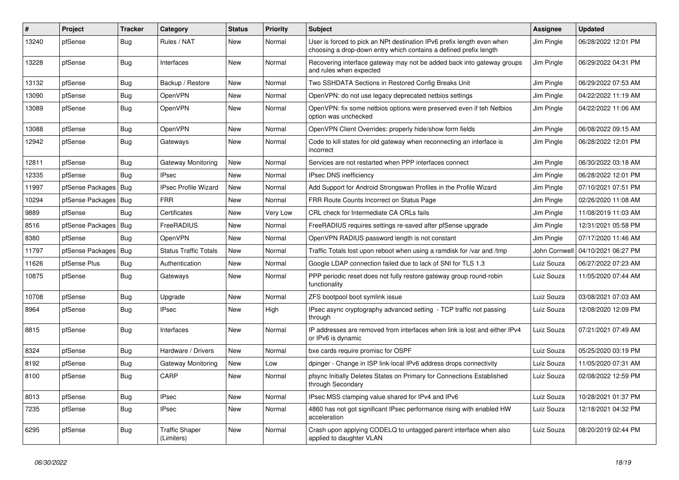| ∦     | Project          | <b>Tracker</b> | Category                            | <b>Status</b> | <b>Priority</b> | <b>Subject</b>                                                                                                                              | <b>Assignee</b> | <b>Updated</b>      |
|-------|------------------|----------------|-------------------------------------|---------------|-----------------|---------------------------------------------------------------------------------------------------------------------------------------------|-----------------|---------------------|
| 13240 | pfSense          | <b>Bug</b>     | Rules / NAT                         | New           | Normal          | User is forced to pick an NPt destination IPv6 prefix length even when<br>choosing a drop-down entry which contains a defined prefix length | Jim Pingle      | 06/28/2022 12:01 PM |
| 13228 | pfSense          | <b>Bug</b>     | Interfaces                          | New           | Normal          | Recovering interface gateway may not be added back into gateway groups<br>and rules when expected                                           | Jim Pingle      | 06/29/2022 04:31 PM |
| 13132 | pfSense          | <b>Bug</b>     | Backup / Restore                    | New           | Normal          | Two SSHDATA Sections in Restored Config Breaks Unit                                                                                         | Jim Pingle      | 06/29/2022 07:53 AM |
| 13090 | pfSense          | <b>Bug</b>     | OpenVPN                             | New           | Normal          | OpenVPN: do not use legacy deprecated netbios settings                                                                                      | Jim Pingle      | 04/22/2022 11:19 AM |
| 13089 | pfSense          | Bug            | OpenVPN                             | New           | Normal          | OpenVPN: fix some netbios options were preserved even if teh Netbios<br>option was unchecked                                                | Jim Pingle      | 04/22/2022 11:06 AM |
| 13088 | pfSense          | Bug            | <b>OpenVPN</b>                      | New           | Normal          | OpenVPN Client Overrides: properly hide/show form fields                                                                                    | Jim Pingle      | 06/08/2022 09:15 AM |
| 12942 | pfSense          | <b>Bug</b>     | Gateways                            | New           | Normal          | Code to kill states for old gateway when reconnecting an interface is<br>incorrect                                                          | Jim Pingle      | 06/28/2022 12:01 PM |
| 12811 | pfSense          | <b>Bug</b>     | Gateway Monitoring                  | New           | Normal          | Services are not restarted when PPP interfaces connect                                                                                      | Jim Pingle      | 06/30/2022 03:18 AM |
| 12335 | pfSense          | <b>Bug</b>     | <b>IPsec</b>                        | New           | Normal          | IPsec DNS inefficiency                                                                                                                      | Jim Pingle      | 06/28/2022 12:01 PM |
| 11997 | pfSense Packages | Bug            | <b>IPsec Profile Wizard</b>         | New           | Normal          | Add Support for Android Strongswan Profiles in the Profile Wizard                                                                           | Jim Pingle      | 07/10/2021 07:51 PM |
| 10294 | pfSense Packages | Bug            | <b>FRR</b>                          | New           | Normal          | FRR Route Counts Incorrect on Status Page                                                                                                   | Jim Pingle      | 02/26/2020 11:08 AM |
| 9889  | pfSense          | Bug            | Certificates                        | New           | Very Low        | CRL check for Intermediate CA CRLs fails                                                                                                    | Jim Pingle      | 11/08/2019 11:03 AM |
| 8516  | pfSense Packages | <b>Bug</b>     | FreeRADIUS                          | New           | Normal          | FreeRADIUS requires settings re-saved after pfSense upgrade                                                                                 | Jim Pingle      | 12/31/2021 05:58 PM |
| 8380  | pfSense          | <b>Bug</b>     | OpenVPN                             | New           | Normal          | OpenVPN RADIUS password length is not constant                                                                                              | Jim Pingle      | 07/17/2020 11:46 AM |
| 11797 | pfSense Packages | <b>Bug</b>     | <b>Status Traffic Totals</b>        | New           | Normal          | Traffic Totals lost upon reboot when using a ramdisk for /var and /tmp                                                                      | John Cornwell   | 04/10/2021 06:27 PM |
| 11626 | pfSense Plus     | <b>Bug</b>     | Authentication                      | New           | Normal          | Google LDAP connection failed due to lack of SNI for TLS 1.3                                                                                | Luiz Souza      | 06/27/2022 07:23 AM |
| 10875 | pfSense          | Bug            | Gateways                            | New           | Normal          | PPP periodic reset does not fully restore gateway group round-robin<br>functionality                                                        | Luiz Souza      | 11/05/2020 07:44 AM |
| 10708 | pfSense          | Bug            | Upgrade                             | New           | Normal          | ZFS bootpool boot symlink issue                                                                                                             | Luiz Souza      | 03/08/2021 07:03 AM |
| 8964  | pfSense          | Bug            | <b>IPsec</b>                        | New           | High            | IPsec async cryptography advanced setting - TCP traffic not passing<br>through                                                              | Luiz Souza      | 12/08/2020 12:09 PM |
| 8815  | pfSense          | Bug            | Interfaces                          | New           | Normal          | IP addresses are removed from interfaces when link is lost and either IPv4<br>or IPv6 is dynamic                                            | Luiz Souza      | 07/21/2021 07:49 AM |
| 8324  | pfSense          | Bug            | Hardware / Drivers                  | New           | Normal          | bxe cards require promisc for OSPF                                                                                                          | Luiz Souza      | 05/25/2020 03:19 PM |
| 8192  | pfSense          | Bug            | Gateway Monitoring                  | New           | Low             | dpinger - Change in ISP link-local IPv6 address drops connectivity                                                                          | Luiz Souza      | 11/05/2020 07:31 AM |
| 8100  | pfSense          | <b>Bug</b>     | CARP                                | New           | Normal          | pfsync Initially Deletes States on Primary for Connections Established<br>through Secondary                                                 | Luiz Souza      | 02/08/2022 12:59 PM |
| 8013  | pfSense          | <b>Bug</b>     | <b>IPsec</b>                        | <b>New</b>    | Normal          | IPsec MSS clamping value shared for IPv4 and IPv6                                                                                           | Luiz Souza      | 10/28/2021 01:37 PM |
| 7235  | pfSense          | <b>Bug</b>     | <b>IPsec</b>                        | New           | Normal          | 4860 has not got significant IPsec performance rising with enabled HW<br>acceleration                                                       | Luiz Souza      | 12/18/2021 04:32 PM |
| 6295  | pfSense          | <b>Bug</b>     | <b>Traffic Shaper</b><br>(Limiters) | New           | Normal          | Crash upon applying CODELQ to untagged parent interface when also<br>applied to daughter VLAN                                               | Luiz Souza      | 08/20/2019 02:44 PM |